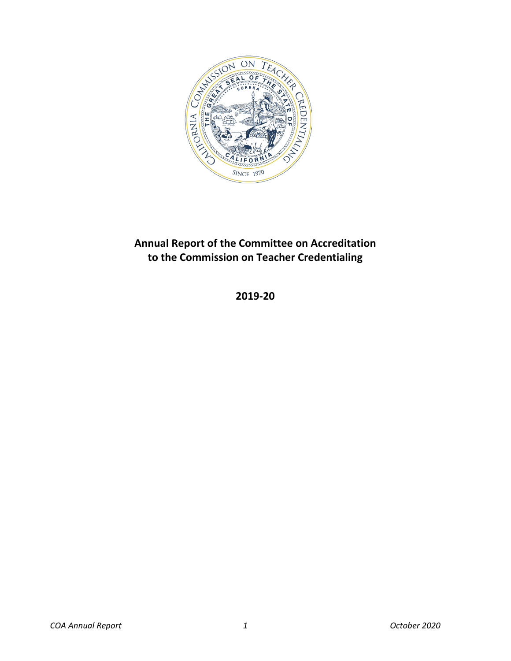

# <span id="page-0-0"></span>**Annual Report of the Committee on Accreditation to the Commission on Teacher Credentialing**

**2019-20**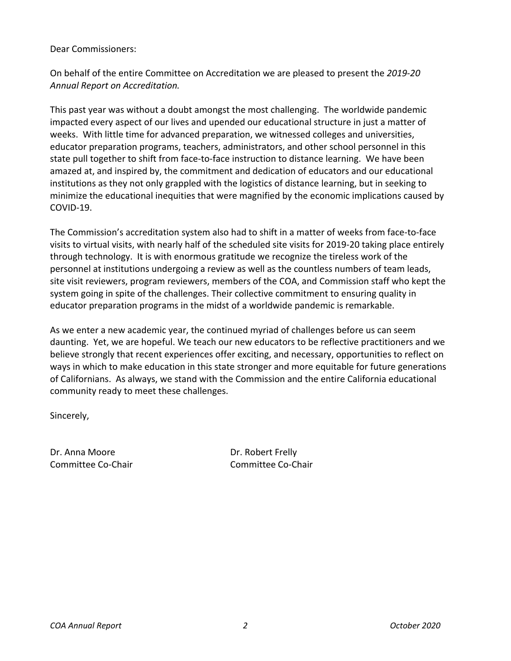### Dear Commissioners:

On behalf of the entire Committee on Accreditation we are pleased to present the *2019-20 Annual Report on Accreditation.*

This past year was without a doubt amongst the most challenging. The worldwide pandemic impacted every aspect of our lives and upended our educational structure in just a matter of weeks. With little time for advanced preparation, we witnessed colleges and universities, educator preparation programs, teachers, administrators, and other school personnel in this state pull together to shift from face-to-face instruction to distance learning. We have been amazed at, and inspired by, the commitment and dedication of educators and our educational institutions as they not only grappled with the logistics of distance learning, but in seeking to minimize the educational inequities that were magnified by the economic implications caused by COVID-19.

The Commission's accreditation system also had to shift in a matter of weeks from face-to-face visits to virtual visits, with nearly half of the scheduled site visits for 2019-20 taking place entirely through technology. It is with enormous gratitude we recognize the tireless work of the personnel at institutions undergoing a review as well as the countless numbers of team leads, site visit reviewers, program reviewers, members of the COA, and Commission staff who kept the system going in spite of the challenges. Their collective commitment to ensuring quality in educator preparation programs in the midst of a worldwide pandemic is remarkable.

As we enter a new academic year, the continued myriad of challenges before us can seem daunting. Yet, we are hopeful. We teach our new educators to be reflective practitioners and we believe strongly that recent experiences offer exciting, and necessary, opportunities to reflect on ways in which to make education in this state stronger and more equitable for future generations of Californians. As always, we stand with the Commission and the entire California educational community ready to meet these challenges.

Sincerely,

Dr. Anna Moore Dr. Robert Frelly

Committee Co-Chair **Committee Co-Chair** Committee Co-Chair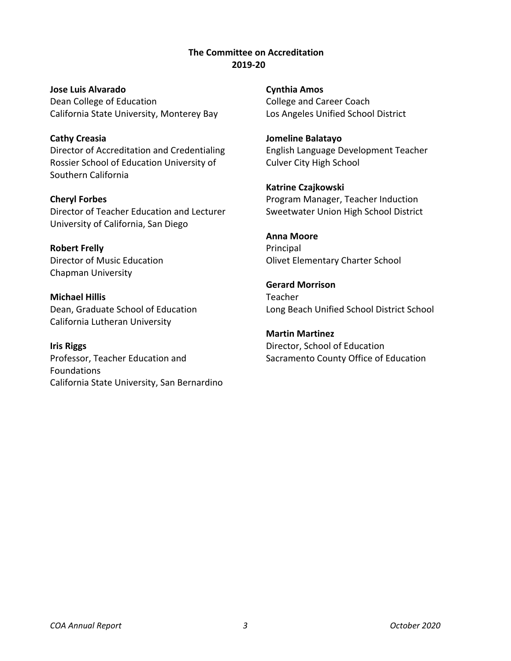**The Committee on Accreditation 2019-20**

<span id="page-2-0"></span>**Jose Luis Alvarado** Dean College of Education California State University, Monterey Bay

**Cathy Creasia** Director of Accreditation and Credentialing Rossier School of Education University of Southern California

**Cheryl Forbes** Director of Teacher Education and Lecturer University of California, San Diego

**Robert Frelly** Director of Music Education Chapman University

**Michael Hillis** Dean, Graduate School of Education California Lutheran University

**Iris Riggs** Professor, Teacher Education and Foundations California State University, San Bernardino **Cynthia Amos** College and Career Coach Los Angeles Unified School District

**Jomeline Balatayo** English Language Development Teacher Culver City High School

**Katrine Czajkowski** Program Manager, Teacher Induction Sweetwater Union High School District

**Anna Moore** Principal Olivet Elementary Charter School

**Gerard Morrison** Teacher Long Beach Unified School District School

**Martin Martinez** Director, School of Education Sacramento County Office of Education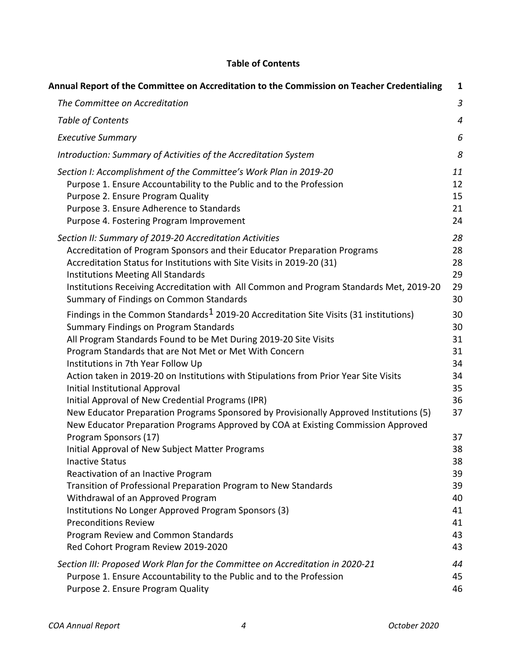## **Table of Contents**

<span id="page-3-0"></span>

| Annual Report of the Committee on Accreditation to the Commission on Teacher Credentialing                                                                                                                                                                                                                                                                                                                                                                                                                                                                                                                                                                                           | 1                                                        |
|--------------------------------------------------------------------------------------------------------------------------------------------------------------------------------------------------------------------------------------------------------------------------------------------------------------------------------------------------------------------------------------------------------------------------------------------------------------------------------------------------------------------------------------------------------------------------------------------------------------------------------------------------------------------------------------|----------------------------------------------------------|
| The Committee on Accreditation                                                                                                                                                                                                                                                                                                                                                                                                                                                                                                                                                                                                                                                       | 3                                                        |
| Table of Contents                                                                                                                                                                                                                                                                                                                                                                                                                                                                                                                                                                                                                                                                    | $\overline{4}$                                           |
| <b>Executive Summary</b>                                                                                                                                                                                                                                                                                                                                                                                                                                                                                                                                                                                                                                                             | 6                                                        |
| Introduction: Summary of Activities of the Accreditation System                                                                                                                                                                                                                                                                                                                                                                                                                                                                                                                                                                                                                      | 8                                                        |
| Section I: Accomplishment of the Committee's Work Plan in 2019-20<br>Purpose 1. Ensure Accountability to the Public and to the Profession<br>Purpose 2. Ensure Program Quality<br>Purpose 3. Ensure Adherence to Standards<br>Purpose 4. Fostering Program Improvement                                                                                                                                                                                                                                                                                                                                                                                                               | 11<br>12<br>15<br>21<br>24                               |
| Section II: Summary of 2019-20 Accreditation Activities<br>Accreditation of Program Sponsors and their Educator Preparation Programs<br>Accreditation Status for Institutions with Site Visits in 2019-20 (31)<br><b>Institutions Meeting All Standards</b><br>Institutions Receiving Accreditation with All Common and Program Standards Met, 2019-20<br>Summary of Findings on Common Standards                                                                                                                                                                                                                                                                                    | 28<br>28<br>28<br>29<br>29<br>30                         |
| Findings in the Common Standards <sup>1</sup> 2019-20 Accreditation Site Visits (31 institutions)<br><b>Summary Findings on Program Standards</b><br>All Program Standards Found to be Met During 2019-20 Site Visits<br>Program Standards that are Not Met or Met With Concern<br>Institutions in 7th Year Follow Up<br>Action taken in 2019-20 on Institutions with Stipulations from Prior Year Site Visits<br>Initial Institutional Approval<br>Initial Approval of New Credential Programs (IPR)<br>New Educator Preparation Programs Sponsored by Provisionally Approved Institutions (5)<br>New Educator Preparation Programs Approved by COA at Existing Commission Approved | 30<br>30<br>31<br>31<br>34<br>34<br>35<br>36<br>37       |
| Program Sponsors (17)<br>Initial Approval of New Subject Matter Programs<br><b>Inactive Status</b><br>Reactivation of an Inactive Program<br>Transition of Professional Preparation Program to New Standards<br>Withdrawal of an Approved Program<br>Institutions No Longer Approved Program Sponsors (3)<br><b>Preconditions Review</b><br>Program Review and Common Standards<br>Red Cohort Program Review 2019-2020                                                                                                                                                                                                                                                               | 37<br>38<br>38<br>39<br>39<br>40<br>41<br>41<br>43<br>43 |
| Section III: Proposed Work Plan for the Committee on Accreditation in 2020-21<br>Purpose 1. Ensure Accountability to the Public and to the Profession<br>Purpose 2. Ensure Program Quality                                                                                                                                                                                                                                                                                                                                                                                                                                                                                           | 44<br>45<br>46                                           |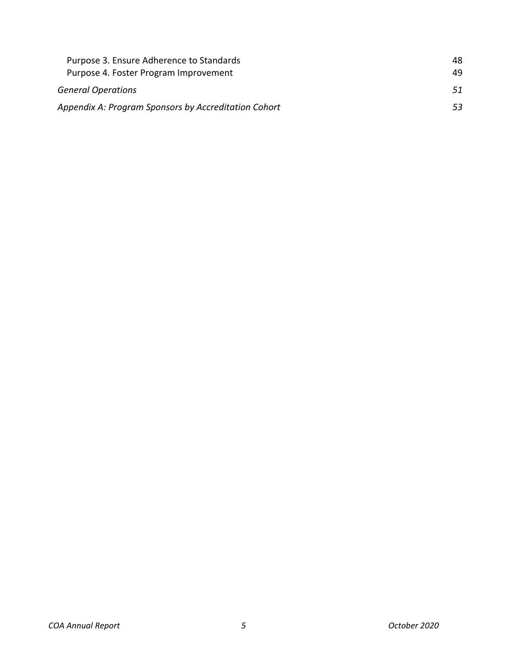<span id="page-4-0"></span>

| Purpose 3. Ensure Adherence to Standards             | 48  |
|------------------------------------------------------|-----|
| Purpose 4. Foster Program Improvement                | 49. |
| <b>General Operations</b>                            | 51  |
| Appendix A: Program Sponsors by Accreditation Cohort | 53. |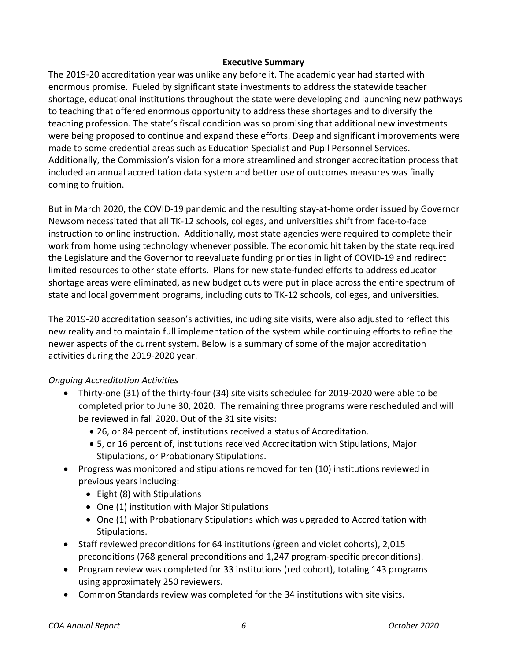#### **Executive Summary**

The 2019-20 accreditation year was unlike any before it. The academic year had started with enormous promise. Fueled by significant state investments to address the statewide teacher shortage, educational institutions throughout the state were developing and launching new pathways to teaching that offered enormous opportunity to address these shortages and to diversify the teaching profession. The state's fiscal condition was so promising that additional new investments were being proposed to continue and expand these efforts. Deep and significant improvements were made to some credential areas such as Education Specialist and Pupil Personnel Services. Additionally, the Commission's vision for a more streamlined and stronger accreditation process that included an annual accreditation data system and better use of outcomes measures was finally coming to fruition.

But in March 2020, the COVID-19 pandemic and the resulting stay-at-home order issued by Governor Newsom necessitated that all TK-12 schools, colleges, and universities shift from face-to-face instruction to online instruction. Additionally, most state agencies were required to complete their work from home using technology whenever possible. The economic hit taken by the state required the Legislature and the Governor to reevaluate funding priorities in light of COVID-19 and redirect limited resources to other state efforts. Plans for new state-funded efforts to address educator shortage areas were eliminated, as new budget cuts were put in place across the entire spectrum of state and local government programs, including cuts to TK-12 schools, colleges, and universities.

The 2019-20 accreditation season's activities, including site visits, were also adjusted to reflect this new reality and to maintain full implementation of the system while continuing efforts to refine the newer aspects of the current system. Below is a summary of some of the major accreditation activities during the 2019-2020 year.

### *Ongoing Accreditation Activities*

- Thirty-one (31) of the thirty-four (34) site visits scheduled for 2019-2020 were able to be completed prior to June 30, 2020. The remaining three programs were rescheduled and will be reviewed in fall 2020. Out of the 31 site visits:
	- 26, or 84 percent of, institutions received a status of Accreditation.
	- 5, or 16 percent of, institutions received Accreditation with Stipulations, Major Stipulations, or Probationary Stipulations.
- Progress was monitored and stipulations removed for ten (10) institutions reviewed in previous years including:
	- Eight (8) with Stipulations
	- One (1) institution with Major Stipulations
	- One (1) with Probationary Stipulations which was upgraded to Accreditation with Stipulations.
- Staff reviewed preconditions for 64 institutions (green and violet cohorts), 2,015 preconditions (768 general preconditions and 1,247 program-specific preconditions).
- Program review was completed for 33 institutions (red cohort), totaling 143 programs using approximately 250 reviewers.
- Common Standards review was completed for the 34 institutions with site visits.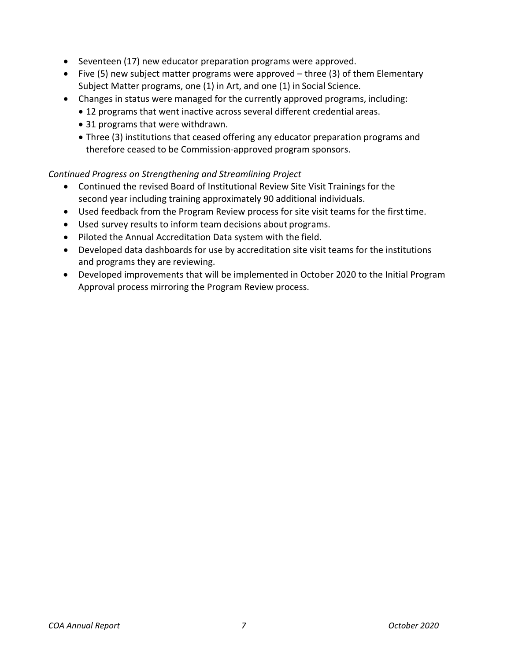- Seventeen (17) new educator preparation programs were approved.
- Five (5) new subject matter programs were approved three (3) of them Elementary Subject Matter programs, one (1) in Art, and one (1) in Social Science.
- Changes in status were managed for the currently approved programs, including:
	- 12 programs that went inactive across several different credential areas.
	- 31 programs that were withdrawn.
	- Three (3) institutions that ceased offering any educator preparation programs and therefore ceased to be Commission-approved program sponsors.

## *Continued Progress on Strengthening and Streamlining Project*

- Continued the revised Board of Institutional Review Site Visit Trainings for the second year including training approximately 90 additional individuals.
- Used feedback from the Program Review process for site visit teams for the firsttime.
- Used survey results to inform team decisions about programs.
- Piloted the Annual Accreditation Data system with the field.
- Developed data dashboards for use by accreditation site visit teams for the institutions and programs they are reviewing.
- Developed improvements that will be implemented in October 2020 to the Initial Program Approval process mirroring the Program Review process.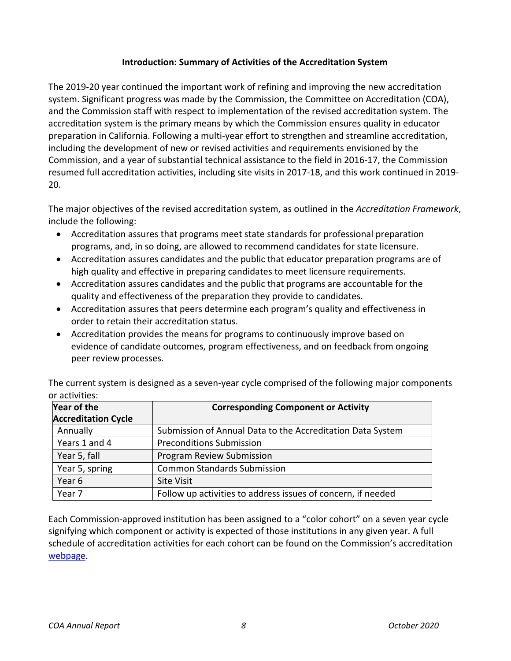## **Introduction: Summary of Activities of the Accreditation System**

<span id="page-7-0"></span>The 2019-20 year continued the important work of refining and improving the new accreditation system. Significant progress was made by the Commission, the Committee on Accreditation (COA), and the Commission staff with respect to implementation of the revised accreditation system. The accreditation system is the primary means by which the Commission ensures quality in educator preparation in California. Following a multi-year effort to strengthen and streamline accreditation, including the development of new or revised activities and requirements envisioned by the Commission, and a year of substantial technical assistance to the field in 2016-17, the Commission resumed full accreditation activities, including site visits in 2017-18, and this work continued in 2019- 20.

The major objectives of the revised accreditation system, as outlined in the *Accreditation Framework*, include the following:

- Accreditation assures that programs meet state standards for professional preparation programs, and, in so doing, are allowed to recommend candidates for state licensure.
- Accreditation assures candidates and the public that educator preparation programs are of high quality and effective in preparing candidates to meet licensure requirements.
- Accreditation assures candidates and the public that programs are accountable for the quality and effectiveness of the preparation they provide to candidates.
- Accreditation assures that peers determine each program's quality and effectiveness in order to retain their accreditation status.
- Accreditation provides the means for programs to continuously improve based on evidence of candidate outcomes, program effectiveness, and on feedback from ongoing peer review processes.

The current system is designed as a seven-year cycle comprised of the following major components or activities:

| Year of the                | <b>Corresponding Component or Activity</b>                   |  |
|----------------------------|--------------------------------------------------------------|--|
| <b>Accreditation Cycle</b> |                                                              |  |
| Annually                   | Submission of Annual Data to the Accreditation Data System   |  |
| Years 1 and 4              | <b>Preconditions Submission</b>                              |  |
| Year 5, fall               | Program Review Submission                                    |  |
| Year 5, spring             | <b>Common Standards Submission</b>                           |  |
| Year 6                     | <b>Site Visit</b>                                            |  |
| Year 7                     | Follow up activities to address issues of concern, if needed |  |

Each Commission-approved institution has been assigned to a "color cohort" on a seven year cycle signifying which component or activity is expected of those institutions in any given year. A full schedule of accreditation activities for each cohort can be found on the Commission's accreditation [webpage.](https://www.ctc.ca.gov/educator-prep/program-accred-sch-act)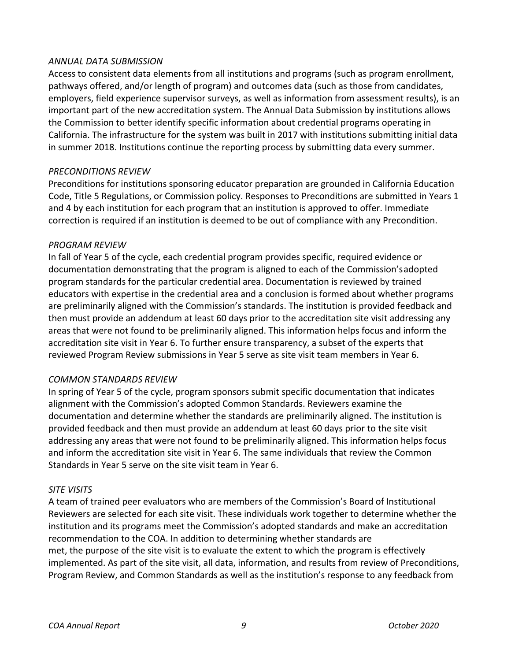### *ANNUAL DATA SUBMISSION*

Access to consistent data elements from all institutions and programs (such as program enrollment, pathways offered, and/or length of program) and outcomes data (such as those from candidates, employers, field experience supervisor surveys, as well as information from assessment results), is an important part of the new accreditation system. The Annual Data Submission by institutions allows the Commission to better identify specific information about credential programs operating in California. The infrastructure for the system was built in 2017 with institutions submitting initial data in summer 2018. Institutions continue the reporting process by submitting data every summer.

### *PRECONDITIONS REVIEW*

Preconditions for institutions sponsoring educator preparation are grounded in California Education Code, Title 5 Regulations, or Commission policy. Responses to Preconditions are submitted in Years 1 and 4 by each institution for each program that an institution is approved to offer. Immediate correction is required if an institution is deemed to be out of compliance with any Precondition.

### *PROGRAM REVIEW*

In fall of Year 5 of the cycle, each credential program provides specific, required evidence or documentation demonstrating that the program is aligned to each of the Commission'sadopted program standards for the particular credential area. Documentation is reviewed by trained educators with expertise in the credential area and a conclusion is formed about whether programs are preliminarily aligned with the Commission's standards. The institution is provided feedback and then must provide an addendum at least 60 days prior to the accreditation site visit addressing any areas that were not found to be preliminarily aligned. This information helps focus and inform the accreditation site visit in Year 6. To further ensure transparency, a subset of the experts that reviewed Program Review submissions in Year 5 serve as site visit team members in Year 6.

### *COMMON STANDARDS REVIEW*

In spring of Year 5 of the cycle, program sponsors submit specific documentation that indicates alignment with the Commission's adopted Common Standards. Reviewers examine the documentation and determine whether the standards are preliminarily aligned. The institution is provided feedback and then must provide an addendum at least 60 days prior to the site visit addressing any areas that were not found to be preliminarily aligned. This information helps focus and inform the accreditation site visit in Year 6. The same individuals that review the Common Standards in Year 5 serve on the site visit team in Year 6.

### *SITE VISITS*

A team of trained peer evaluators who are members of the Commission's Board of Institutional Reviewers are selected for each site visit. These individuals work together to determine whether the institution and its programs meet the Commission's adopted standards and make an accreditation recommendation to the COA. In addition to determining whether standards are met, the purpose of the site visit is to evaluate the extent to which the program is effectively implemented. As part of the site visit, all data, information, and results from review of Preconditions, Program Review, and Common Standards as well as the institution's response to any feedback from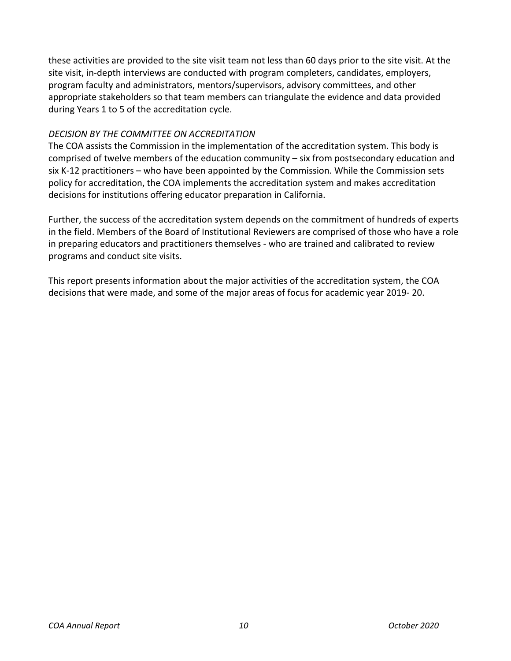these activities are provided to the site visit team not less than 60 days prior to the site visit. At the site visit, in-depth interviews are conducted with program completers, candidates, employers, program faculty and administrators, mentors/supervisors, advisory committees, and other appropriate stakeholders so that team members can triangulate the evidence and data provided during Years 1 to 5 of the accreditation cycle.

## *DECISION BY THE COMMITTEE ON ACCREDITATION*

The COA assists the Commission in the implementation of the accreditation system. This body is comprised of twelve members of the education community – six from postsecondary education and six K-12 practitioners – who have been appointed by the Commission. While the Commission sets policy for accreditation, the COA implements the accreditation system and makes accreditation decisions for institutions offering educator preparation in California.

Further, the success of the accreditation system depends on the commitment of hundreds of experts in the field. Members of the Board of Institutional Reviewers are comprised of those who have a role in preparing educators and practitioners themselves - who are trained and calibrated to review programs and conduct site visits.

This report presents information about the major activities of the accreditation system, the COA decisions that were made, and some of the major areas of focus for academic year 2019- 20.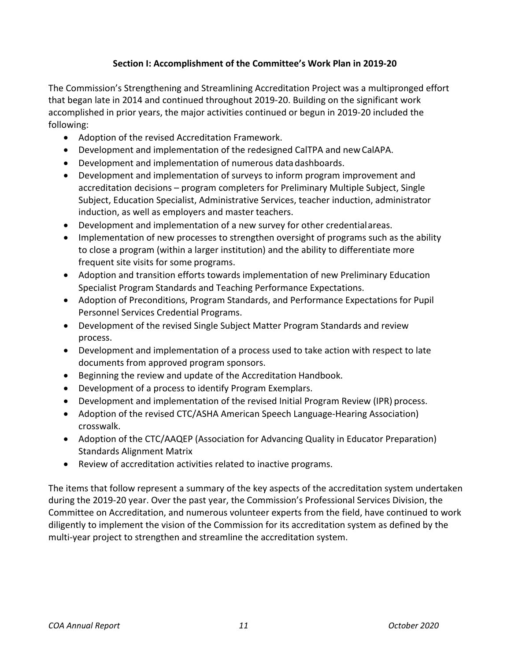## **Section I: Accomplishment of the Committee's Work Plan in 2019-20**

<span id="page-10-0"></span>The Commission's Strengthening and Streamlining Accreditation Project was a multipronged effort that began late in 2014 and continued throughout 2019-20. Building on the significant work accomplished in prior years, the major activities continued or begun in 2019-20 included the following:

- Adoption of the revised Accreditation Framework.
- Development and implementation of the redesigned CalTPA and new CalAPA.
- Development and implementation of numerous datadashboards.
- Development and implementation of surveys to inform program improvement and accreditation decisions – program completers for Preliminary Multiple Subject, Single Subject, Education Specialist, Administrative Services, teacher induction, administrator induction, as well as employers and master teachers.
- Development and implementation of a new survey for other credentialareas.
- Implementation of new processes to strengthen oversight of programs such as the ability to close a program (within a larger institution) and the ability to differentiate more frequent site visits for some programs.
- Adoption and transition efforts towards implementation of new Preliminary Education Specialist Program Standards and Teaching Performance Expectations.
- Adoption of Preconditions, Program Standards, and Performance Expectations for Pupil Personnel Services Credential Programs.
- Development of the revised Single Subject Matter Program Standards and review process.
- Development and implementation of a process used to take action with respect to late documents from approved program sponsors.
- Beginning the review and update of the Accreditation Handbook.
- Development of a process to identify Program Exemplars.
- Development and implementation of the revised Initial Program Review (IPR) process.
- Adoption of the revised CTC/ASHA American Speech Language-Hearing Association) crosswalk.
- Adoption of the CTC/AAQEP (Association for Advancing Quality in Educator Preparation) Standards Alignment Matrix
- Review of accreditation activities related to inactive programs.

The items that follow represent a summary of the key aspects of the accreditation system undertaken during the 2019-20 year. Over the past year, the Commission's Professional Services Division, the Committee on Accreditation, and numerous volunteer experts from the field, have continued to work diligently to implement the vision of the Commission for its accreditation system as defined by the multi-year project to strengthen and streamline the accreditation system.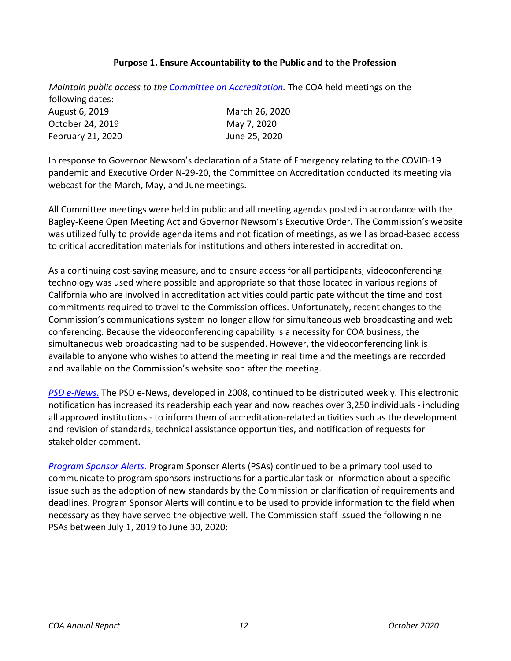### **Purpose 1. Ensure Accountability to the Public and to the Profession**

<span id="page-11-0"></span>*Maintain public access to the [Committee on Accreditation.](https://www.ctc.ca.gov/educator-prep/coa)* The COA held meetings on the following dates: August 6, 2019 October 24, 2019 February 21, 2020 March 26, 2020 May 7, 2020 June 25, 2020

In response to Governor Newsom's declaration of a State of Emergency relating to the COVID-19 pandemic and [Executive Order N-29-20,](https://www.gov.ca.gov/wp-content/uploads/2020/03/3.17.20-N-29-20-EO.pdf) the Committee on Accreditation conducted its meeting via webcast for the March, May, and June meetings.

All Committee meetings were held in public and all meeting agendas posted in accordance with the Bagley-Keene Open Meeting Act and Governor Newsom's Executive Order. The Commission's website was utilized fully to provide agenda items and notification of meetings, as well as broad-based access to critical accreditation materials for institutions and others interested in accreditation.

As a continuing cost-saving measure, and to ensure access for all participants, videoconferencing technology was used where possible and appropriate so that those located in various regions of California who are involved in accreditation activities could participate without the time and cost commitments required to travel to the Commission offices. Unfortunately, recent changes to the Commission's communications system no longer allow for simultaneous web broadcasting and web conferencing. Because the videoconferencing capability is a necessity for COA business, the simultaneous web broadcasting had to be suspended. However, the videoconferencing link is available to anyone who wishes to attend the meeting in real time and the meetings are recorded and available on the Commission's website soon after the meeting.

*[PSD e-News](https://www.ctc.ca.gov/commission/newsletters/psd-news)*. The PSD e-News, developed in 2008, continued to be distributed weekly. This electronic notification has increased its readership each year and now reaches over 3,250 individuals - including all approved institutions - to inform them of accreditation-related activities such as the development and revision of standards, technical assistance opportunities, and notification of requests for stakeholder comment.

*[Program Sponsor Alerts](https://www.ctc.ca.gov/educator-prep/ps-alerts)*. Program Sponsor Alerts (PSAs) continued to be a primary tool used to communicate to program sponsors instructions for a particular task or information about a specific issue such as the adoption of new standards by the Commission or clarification of requirements and deadlines. Program Sponsor Alerts will continue to be used to provide information to the field when necessary as they have served the objective well. The Commission staff issued the following nine PSAs between July 1, 2019 to June 30, 2020: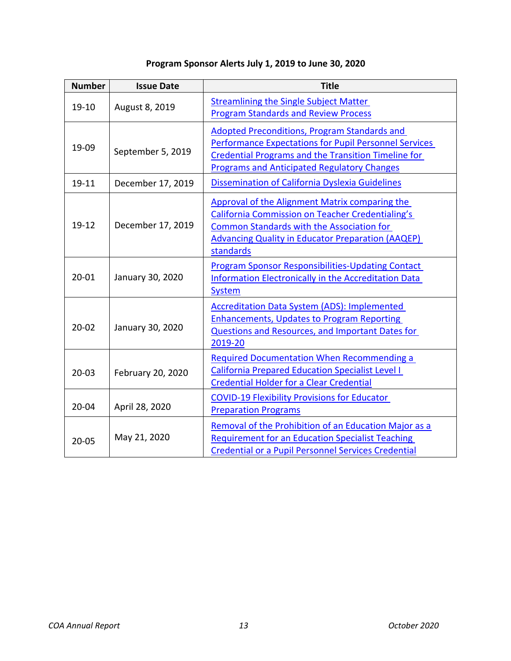| Program Sponsor Alerts July 1, 2019 to June 30, 2020 |  |  |  |
|------------------------------------------------------|--|--|--|
|------------------------------------------------------|--|--|--|

| <b>Number</b> | <b>Issue Date</b> | <b>Title</b>                                                                                                                                                                                                                            |
|---------------|-------------------|-----------------------------------------------------------------------------------------------------------------------------------------------------------------------------------------------------------------------------------------|
| 19-10         | August 8, 2019    | <b>Streamlining the Single Subject Matter</b><br><b>Program Standards and Review Process</b>                                                                                                                                            |
| 19-09         | September 5, 2019 | <b>Adopted Preconditions, Program Standards and</b><br><b>Performance Expectations for Pupil Personnel Services</b><br><b>Credential Programs and the Transition Timeline for</b><br><b>Programs and Anticipated Regulatory Changes</b> |
| 19-11         | December 17, 2019 | Dissemination of California Dyslexia Guidelines                                                                                                                                                                                         |
| $19-12$       | December 17, 2019 | Approval of the Alignment Matrix comparing the<br><b>California Commission on Teacher Credentialing's</b><br><b>Common Standards with the Association for</b><br><b>Advancing Quality in Educator Preparation (AAQEP)</b><br>standards  |
| $20 - 01$     | January 30, 2020  | <b>Program Sponsor Responsibilities-Updating Contact</b><br><b>Information Electronically in the Accreditation Data</b><br><b>System</b>                                                                                                |
| $20 - 02$     | January 30, 2020  | <b>Accreditation Data System (ADS): Implemented</b><br><b>Enhancements, Updates to Program Reporting</b><br>Questions and Resources, and Important Dates for<br>2019-20                                                                 |
| $20 - 03$     | February 20, 2020 | <b>Required Documentation When Recommending a</b><br><b>California Prepared Education Specialist Level I</b><br><b>Credential Holder for a Clear Credential</b>                                                                         |
| $20 - 04$     | April 28, 2020    | <b>COVID-19 Flexibility Provisions for Educator</b><br><b>Preparation Programs</b>                                                                                                                                                      |
| $20 - 05$     | May 21, 2020      | Removal of the Prohibition of an Education Major as a<br><b>Requirement for an Education Specialist Teaching</b><br><b>Credential or a Pupil Personnel Services Credential</b>                                                          |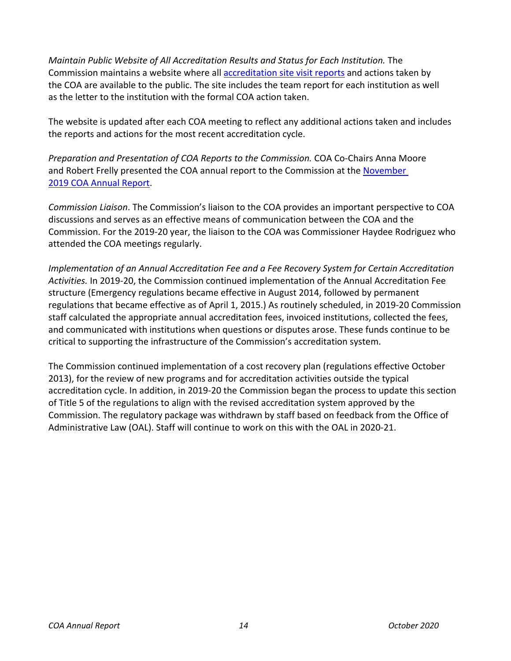*Maintain Public Website of All Accreditation Results and Status for Each Institution.* The Commission maintains a website where all [accreditation site visit reports](https://info.ctc.ca.gov/fmp/accreditation/accreditation_reports.php) and actions taken by the COA are available to the public. The site includes the team report for each institution as well as the letter to the institution with the formal COA action taken.

The website is updated after each COA meeting to reflect any additional actions taken and includes the reports and actions for the most recent accreditation cycle.

*Preparation and Presentation of COA Reports to the Commission.* COA Co-Chairs Anna Moore and Robert Frelly presented the COA annual report to the Commission at the [November](https://www.ctc.ca.gov/docs/default-source/commission/agendas/2019-11/2019-11-3a.pdf?sfvrsn=b8992db1_2)  [2019 COA Annual Report.](https://www.ctc.ca.gov/docs/default-source/commission/agendas/2019-11/2019-11-3a.pdf?sfvrsn=b8992db1_2)

*Commission Liaison*. The Commission's liaison to the COA provides an important perspective to COA discussions and serves as an effective means of communication between the COA and the Commission. For the 2019-20 year, the liaison to the COA was Commissioner Haydee Rodriguez who attended the COA meetings regularly.

*Implementation of an Annual Accreditation Fee and a Fee Recovery System for Certain Accreditation Activities.* In 2019-20, the Commission continued implementation of the Annual Accreditation Fee structure (Emergency regulations became effective in August 2014, followed by permanent regulations that became effective as of April 1, 2015.) As routinely scheduled, in 2019-20 Commission staff calculated the appropriate annual accreditation fees, invoiced institutions, collected the fees, and communicated with institutions when questions or disputes arose. These funds continue to be critical to supporting the infrastructure of the Commission's accreditation system.

The Commission continued implementation of a cost recovery plan (regulations effective October 2013), for the review of new programs and for accreditation activities outside the typical accreditation cycle. In addition, in 2019-20 the Commission began the process to update this section of Title 5 of the regulations to align with the revised accreditation system approved by the Commission. The regulatory package was withdrawn by staff based on feedback from the Office of Administrative Law (OAL). Staff will continue to work on this with the OAL in 2020-21.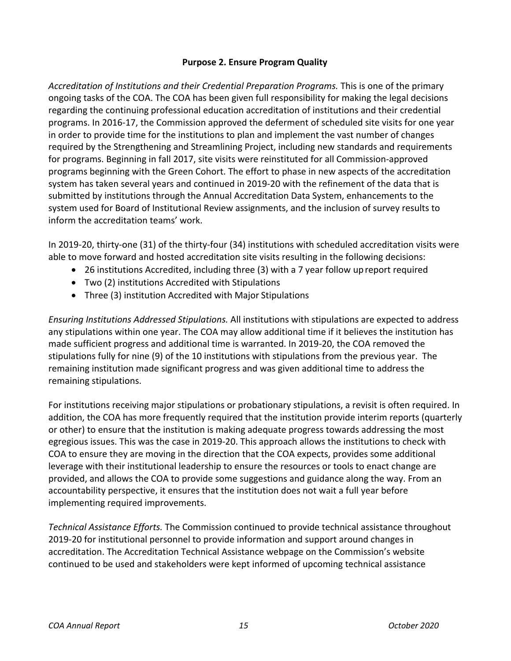## **Purpose 2. Ensure Program Quality**

<span id="page-14-0"></span>*Accreditation of Institutions and their Credential Preparation Programs.* This is one of the primary ongoing tasks of the COA. The COA has been given full responsibility for making the legal decisions regarding the continuing professional education accreditation of institutions and their credential programs. In 2016-17, the Commission approved the deferment of scheduled site visits for one year in order to provide time for the institutions to plan and implement the vast number of changes required by the Strengthening and Streamlining Project, including new standards and requirements for programs. Beginning in fall 2017, site visits were reinstituted for all Commission-approved programs beginning with the Green Cohort. The effort to phase in new aspects of the accreditation system has taken several years and continued in 2019-20 with the refinement of the data that is submitted by institutions through the Annual Accreditation Data System, enhancements to the system used for Board of Institutional Review assignments, and the inclusion of survey results to inform the accreditation teams' work.

In 2019-20, thirty-one (31) of the thirty-four (34) institutions with scheduled accreditation visits were able to move forward and hosted accreditation site visits resulting in the following decisions:

- 26 institutions Accredited, including three (3) with a 7 year follow upreport required
- Two (2) institutions Accredited with Stipulations
- Three (3) institution Accredited with Major Stipulations

*Ensuring Institutions Addressed Stipulations.* All institutions with stipulations are expected to address any stipulations within one year. The COA may allow additional time if it believes the institution has made sufficient progress and additional time is warranted. In 2019-20, the COA removed the stipulations fully for nine (9) of the 10 institutions with stipulations from the previous year. The remaining institution made significant progress and was given additional time to address the remaining stipulations.

For institutions receiving major stipulations or probationary stipulations, a revisit is often required. In addition, the COA has more frequently required that the institution provide interim reports (quarterly or other) to ensure that the institution is making adequate progress towards addressing the most egregious issues. This was the case in 2019-20. This approach allows the institutions to check with COA to ensure they are moving in the direction that the COA expects, provides some additional leverage with their institutional leadership to ensure the resources or tools to enact change are provided, and allows the COA to provide some suggestions and guidance along the way. From an accountability perspective, it ensures that the institution does not wait a full year before implementing required improvements.

*Technical Assistance Efforts.* The Commission continued to provide technical assistance throughout 2019-20 for institutional personnel to provide information and support around changes in accreditation. The Accreditation Technical Assistance webpage on the Commission's website continued to be used and stakeholders were kept informed of upcoming technical assistance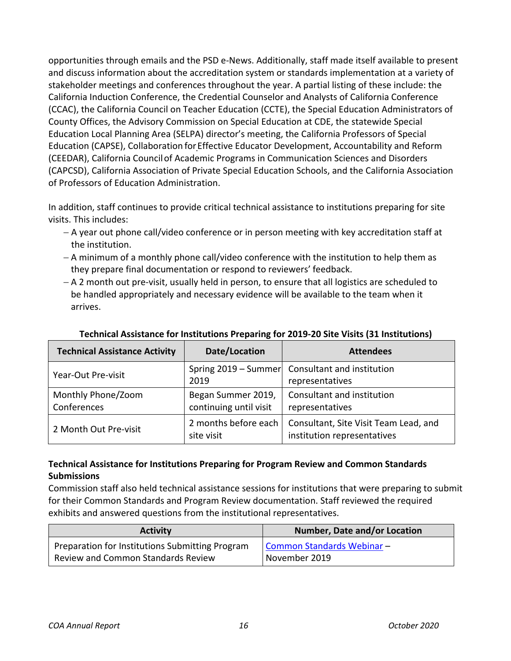opportunities through emails and the PSD e-News. Additionally, staff made itself available to present and discuss information about the accreditation system or standards implementation at a variety of stakeholder meetings and conferences throughout the year. A partial listing of these include: the California Induction Conference, the Credential Counselor and Analysts of California Conference (CCAC), the California Council on Teacher Education (CCTE), the Special Education Administrators of County Offices, the Advisory Commission on Special Education at CDE, the statewide Special Education Local Planning Area (SELPA) director's meeting, the California Professors of Special Education (CAPSE), Collaboration forEffective Educator Development, Accountability and Reform (CEEDAR), California Councilof Academic Programs in Communication Sciences and Disorders (CAPCSD), California Association of Private Special Education Schools, and the California Association of Professors of Education Administration.

In addition, staff continues to provide critical technical assistance to institutions preparing for site visits. This includes:

- − A year out phone call/video conference or in person meeting with key accreditation staff at the institution.
- − A minimum of a monthly phone call/video conference with the institution to help them as they prepare final documentation or respond to reviewers' feedback.
- − A 2 month out pre-visit, usually held in person, to ensure that all logistics are scheduled to be handled appropriately and necessary evidence will be available to the team when it arrives.

| <b>Technical Assistance Activity</b> | Date/Location                                | <b>Attendees</b>                                                     |
|--------------------------------------|----------------------------------------------|----------------------------------------------------------------------|
| Year-Out Pre-visit                   | 2019                                         | Spring 2019 – Summer Consultant and institution<br>representatives   |
| Monthly Phone/Zoom<br>Conferences    | Began Summer 2019,<br>continuing until visit | Consultant and institution<br>representatives                        |
| 2 Month Out Pre-visit                | 2 months before each<br>site visit           | Consultant, Site Visit Team Lead, and<br>institution representatives |

## **Technical Assistance for Institutions Preparing for 2019-20 Site Visits (31 Institutions)**

## **Technical Assistance for Institutions Preparing for Program Review and Common Standards Submissions**

Commission staff also held technical assistance sessions for institutions that were preparing to submit for their Common Standards and Program Review documentation. Staff reviewed the required exhibits and answered questions from the institutional representatives.

| <b>Activity</b>                                 | <b>Number, Date and/or Location</b> |
|-------------------------------------------------|-------------------------------------|
| Preparation for Institutions Submitting Program | Common Standards Webinar-           |
| <b>Review and Common Standards Review</b>       | November 2019                       |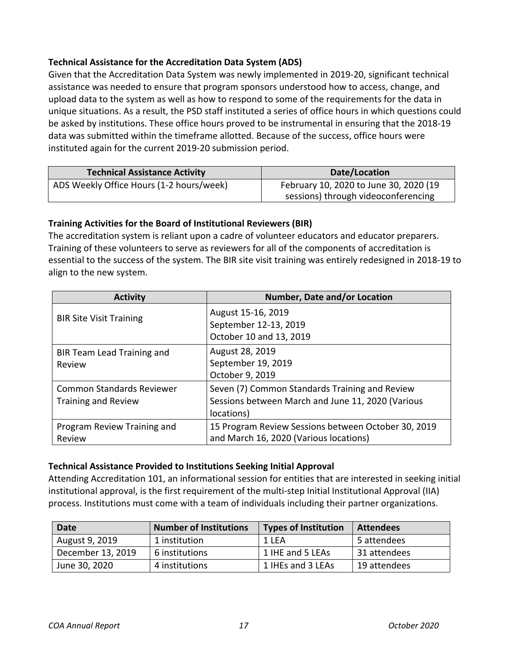## **Technical Assistance for the Accreditation Data System (ADS)**

Given that the Accreditation Data System was newly implemented in 2019-20, significant technical assistance was needed to ensure that program sponsors understood how to access, change, and upload data to the system as well as how to respond to some of the requirements for the data in unique situations. As a result, the PSD staff instituted a series of office hours in which questions could be asked by institutions. These office hours proved to be instrumental in ensuring that the 2018-19 data was submitted within the timeframe allotted. Because of the success, office hours were instituted again for the current 2019-20 submission period.

| <b>Technical Assistance Activity</b>     | Date/Location                                                                 |
|------------------------------------------|-------------------------------------------------------------------------------|
| ADS Weekly Office Hours (1-2 hours/week) | February 10, 2020 to June 30, 2020 (19<br>sessions) through videoconferencing |

## **Training Activities for the Board of Institutional Reviewers (BIR)**

The accreditation system is reliant upon a cadre of volunteer educators and educator preparers. Training of these volunteers to serve as reviewers for all of the components of accreditation is essential to the success of the system. The BIR site visit training was entirely redesigned in 2018-19 to align to the new system.

| <b>Activity</b>                                                | Number, Date and/or Location                                                                                      |
|----------------------------------------------------------------|-------------------------------------------------------------------------------------------------------------------|
| <b>BIR Site Visit Training</b>                                 | August 15-16, 2019<br>September 12-13, 2019<br>October 10 and 13, 2019                                            |
| BIR Team Lead Training and<br>Review                           | August 28, 2019<br>September 19, 2019<br>October 9, 2019                                                          |
| <b>Common Standards Reviewer</b><br><b>Training and Review</b> | Seven (7) Common Standards Training and Review<br>Sessions between March and June 11, 2020 (Various<br>locations) |
| Program Review Training and<br>Review                          | 15 Program Review Sessions between October 30, 2019<br>and March 16, 2020 (Various locations)                     |

## **Technical Assistance Provided to Institutions Seeking Initial Approval**

Attending Accreditation 101, an informational session for entities that are interested in seeking initial institutional approval, is the first requirement of the multi-step Initial Institutional Approval (IIA) process. Institutions must come with a team of individuals including their partner organizations.

| <b>Date</b>       | <b>Number of Institutions</b> | <b>Types of Institution</b> | <b>Attendees</b> |
|-------------------|-------------------------------|-----------------------------|------------------|
| August 9, 2019    | 1 institution                 | 1 LEA                       | 5 attendees      |
| December 13, 2019 | 6 institutions                | 1 IHE and 5 LEAs            | 31 attendees     |
| June 30, 2020     | 4 institutions                | 1 IHEs and 3 LEAs           | 19 attendees     |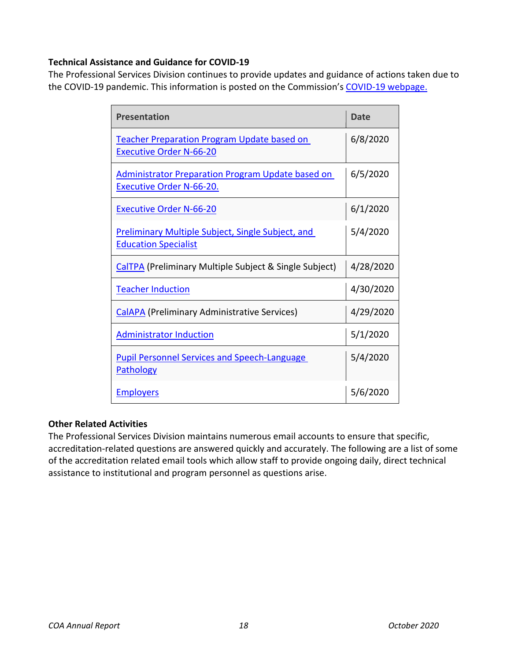## **Technical Assistance and Guidance for COVID-19**

The Professional Services Division continues to provide updates and guidance of actions taken due to the COVID-19 pandemic. This information is posted on the Commission's [COVID-19 webpage.](https://www.ctc.ca.gov/commission/covid-19-commission-action-related-to-covid-19)

| <b>Presentation</b>                                                                         | Date      |
|---------------------------------------------------------------------------------------------|-----------|
| <b>Teacher Preparation Program Update based on</b><br><b>Executive Order N-66-20</b>        | 6/8/2020  |
| <b>Administrator Preparation Program Update based on</b><br><b>Executive Order N-66-20.</b> | 6/5/2020  |
| <b>Executive Order N-66-20</b>                                                              | 6/1/2020  |
| <b>Preliminary Multiple Subject, Single Subject, and</b><br><b>Education Specialist</b>     | 5/4/2020  |
| <b>CalTPA</b> (Preliminary Multiple Subject & Single Subject)                               | 4/28/2020 |
| <b>Teacher Induction</b>                                                                    | 4/30/2020 |
| <b>CalAPA</b> (Preliminary Administrative Services)                                         | 4/29/2020 |
| <b>Administrator Induction</b>                                                              | 5/1/2020  |
| <b>Pupil Personnel Services and Speech-Language</b><br><b>Pathology</b>                     | 5/4/2020  |
| <b>Employers</b>                                                                            | 5/6/2020  |

### **Other Related Activities**

The Professional Services Division maintains numerous email accounts to ensure that specific, accreditation-related questions are answered quickly and accurately. The following are a list of some of the accreditation related email tools which allow staff to provide ongoing daily, direct technical assistance to institutional and program personnel as questions arise.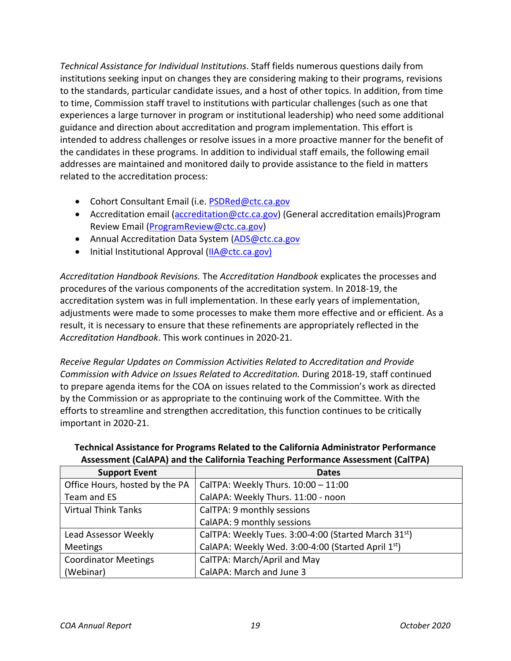*Technical Assistance for Individual Institutions*. Staff fields numerous questions daily from institutions seeking input on changes they are considering making to their programs, revisions to the standards, particular candidate issues, and a host of other topics. In addition, from time to time, Commission staff travel to institutions with particular challenges (such as one that experiences a large turnover in program or institutional leadership) who need some additional guidance and direction about accreditation and program implementation. This effort is intended to address challenges or resolve issues in a more proactive manner for the benefit of the candidates in these programs. In addition to individual staff emails, the following email addresses are maintained and monitored daily to provide assistance to the field in matters related to the accreditation process:

- Cohort Consultant Email (i.e. [PSDRed@ctc.ca.gov](mailto:PSDRed@ctc.ca.gov)
- Accreditation email [\(accreditation@ctc.ca.gov\)](mailto:accreditation@ctc.ca.gov) (General accreditation emails) Program Review Email [\(ProgramReview@ctc.ca.gov\)](mailto:ProgramReview@ctc.ca.gov)
- Annual Accreditation Data System [\(ADS@ctc.ca.gov](mailto:ADS@ctc.ca.gov)
- Initial Institutional Approval [\(IIA@ctc.ca.gov\)](mailto:IIA@ctc.ca.gov)

*Accreditation Handbook Revisions.* The *Accreditation Handbook* explicates the processes and procedures of the various components of the accreditation system. In 2018-19, the accreditation system was in full implementation. In these early years of implementation, adjustments were made to some processes to make them more effective and or efficient. As a result, it is necessary to ensure that these refinements are appropriately reflected in the *Accreditation Handbook*. This work continues in 2020-21.

*Receive Regular Updates on Commission Activities Related to Accreditation and Provide Commission with Advice on Issues Related to Accreditation.* During 2018-19, staff continued to prepare agenda items for the COA on issues related to the Commission's work as directed by the Commission or as appropriate to the continuing work of the Committee. With the efforts to streamline and strengthen accreditation, this function continues to be critically important in 2020-21.

| <b>Support Event</b>           | <b>Dates</b>                                                     |
|--------------------------------|------------------------------------------------------------------|
| Office Hours, hosted by the PA | CalTPA: Weekly Thurs. 10:00 - 11:00                              |
| Team and ES                    | CalAPA: Weekly Thurs. 11:00 - noon                               |
| <b>Virtual Think Tanks</b>     | CalTPA: 9 monthly sessions                                       |
|                                | CalAPA: 9 monthly sessions                                       |
| Lead Assessor Weekly           | CalTPA: Weekly Tues. 3:00-4:00 (Started March 31 <sup>st</sup> ) |
| <b>Meetings</b>                | CalAPA: Weekly Wed. 3:00-4:00 (Started April 1st)                |
| <b>Coordinator Meetings</b>    | CalTPA: March/April and May                                      |
| (Webinar)                      | CalAPA: March and June 3                                         |

### **Technical Assistance for Programs Related to the California Administrator Performance Assessment (CalAPA) and the California Teaching Performance Assessment (CalTPA)**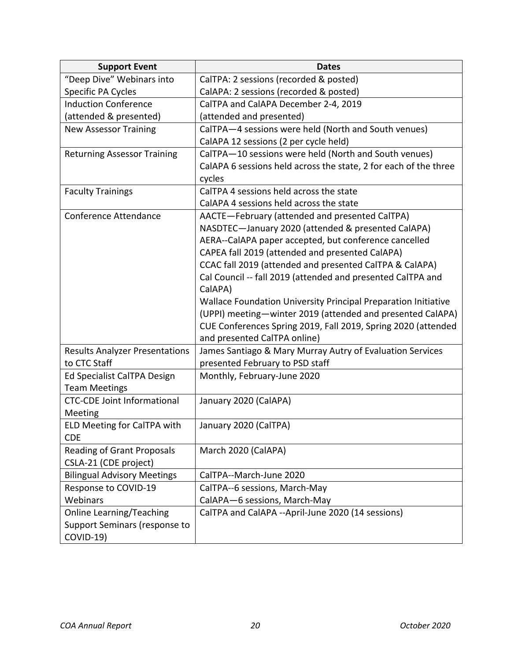| <b>Support Event</b>                  | <b>Dates</b>                                                     |
|---------------------------------------|------------------------------------------------------------------|
| "Deep Dive" Webinars into             | CalTPA: 2 sessions (recorded & posted)                           |
| Specific PA Cycles                    | CalAPA: 2 sessions (recorded & posted)                           |
| <b>Induction Conference</b>           | CalTPA and CalAPA December 2-4, 2019                             |
| (attended & presented)                | (attended and presented)                                         |
| <b>New Assessor Training</b>          | CalTPA-4 sessions were held (North and South venues)             |
|                                       | CalAPA 12 sessions (2 per cycle held)                            |
| <b>Returning Assessor Training</b>    | CalTPA-10 sessions were held (North and South venues)            |
|                                       | CalAPA 6 sessions held across the state, 2 for each of the three |
|                                       | cycles                                                           |
| <b>Faculty Trainings</b>              | CalTPA 4 sessions held across the state                          |
|                                       | CalAPA 4 sessions held across the state                          |
| Conference Attendance                 | AACTE-February (attended and presented CalTPA)                   |
|                                       | NASDTEC-January 2020 (attended & presented CalAPA)               |
|                                       | AERA--CalAPA paper accepted, but conference cancelled            |
|                                       | CAPEA fall 2019 (attended and presented CalAPA)                  |
|                                       | CCAC fall 2019 (attended and presented CalTPA & CalAPA)          |
|                                       | Cal Council -- fall 2019 (attended and presented CalTPA and      |
|                                       | CalAPA)                                                          |
|                                       | Wallace Foundation University Principal Preparation Initiative   |
|                                       | (UPPI) meeting-winter 2019 (attended and presented CalAPA)       |
|                                       | CUE Conferences Spring 2019, Fall 2019, Spring 2020 (attended    |
|                                       | and presented CalTPA online)                                     |
| <b>Results Analyzer Presentations</b> | James Santiago & Mary Murray Autry of Evaluation Services        |
| to CTC Staff                          | presented February to PSD staff                                  |
| Ed Specialist CalTPA Design           | Monthly, February-June 2020                                      |
| <b>Team Meetings</b>                  |                                                                  |
| <b>CTC-CDE Joint Informational</b>    | January 2020 (CalAPA)                                            |
| Meeting                               |                                                                  |
| ELD Meeting for CalTPA with           | January 2020 (CalTPA)                                            |
| <b>CDE</b>                            |                                                                  |
| <b>Reading of Grant Proposals</b>     | March 2020 (CalAPA)                                              |
| CSLA-21 (CDE project)                 |                                                                  |
| <b>Bilingual Advisory Meetings</b>    | CalTPA--March-June 2020                                          |
| Response to COVID-19                  | CalTPA--6 sessions, March-May                                    |
| Webinars                              | CalAPA-6 sessions, March-May                                     |
| Online Learning/Teaching              | CalTPA and CalAPA --April-June 2020 (14 sessions)                |
| Support Seminars (response to         |                                                                  |
| COVID-19)                             |                                                                  |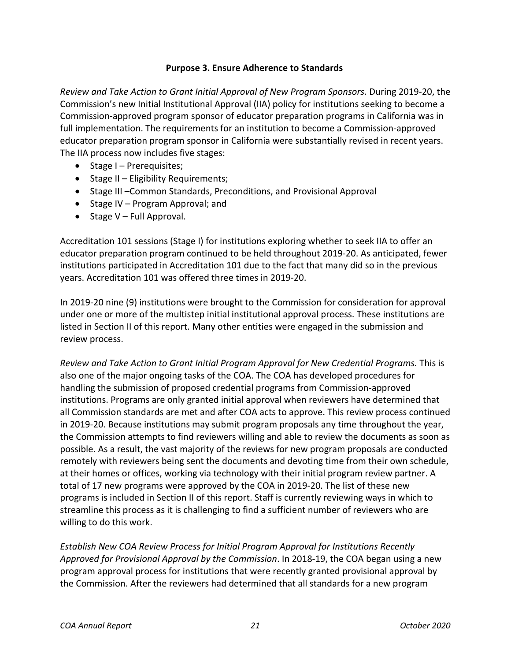### **Purpose 3. Ensure Adherence to Standards**

<span id="page-20-0"></span>*Review and Take Action to Grant Initial Approval of New Program Sponsors.* During 2019-20, the Commission's new Initial Institutional Approval (IIA) policy for institutions seeking to become a Commission-approved program sponsor of educator preparation programs in California was in full implementation. The requirements for an institution to become a Commission-approved educator preparation program sponsor in California were substantially revised in recent years. The IIA process now includes five stages:

- Stage I Prerequisites;
- Stage II Eligibility Requirements;
- Stage III –Common Standards, Preconditions, and Provisional Approval
- Stage IV Program Approval; and
- Stage V Full Approval.

Accreditation 101 sessions (Stage I) for institutions exploring whether to seek IIA to offer an educator preparation program continued to be held throughout 2019-20. As anticipated, fewer institutions participated in Accreditation 101 due to the fact that many did so in the previous years. Accreditation 101 was offered three times in 2019-20.

In 2019-20 nine (9) institutions were brought to the Commission for consideration for approval under one or more of the multistep initial institutional approval process. These institutions are listed in Section II of this report. Many other entities were engaged in the submission and review process.

*Review and Take Action to Grant Initial Program Approval for New Credential Programs.* This is also one of the major ongoing tasks of the COA. The COA has developed procedures for handling the submission of proposed credential programs from Commission-approved institutions. Programs are only granted initial approval when reviewers have determined that all Commission standards are met and after COA acts to approve. This review process continued in 2019-20. Because institutions may submit program proposals any time throughout the year, the Commission attempts to find reviewers willing and able to review the documents as soon as possible. As a result, the vast majority of the reviews for new program proposals are conducted remotely with reviewers being sent the documents and devoting time from their own schedule, at their homes or offices, working via technology with their initial program review partner. A total of 17 new programs were approved by the COA in 2019-20. The list of these new programs is included in Section II of this report. Staff is currently reviewing ways in which to streamline this process as it is challenging to find a sufficient number of reviewers who are willing to do this work.

*Establish New COA Review Process for Initial Program Approval for Institutions Recently Approved for Provisional Approval by the Commission*. In 2018-19, the COA began using a new program approval process for institutions that were recently granted provisional approval by the Commission. After the reviewers had determined that all standards for a new program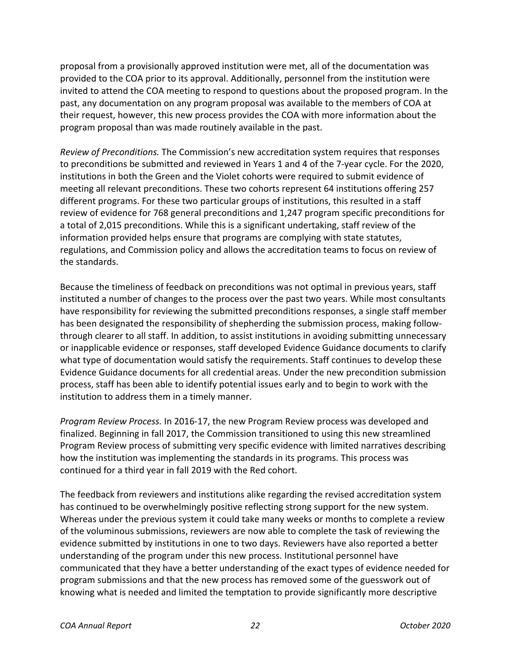proposal from a provisionally approved institution were met, all of the documentation was provided to the COA prior to its approval. Additionally, personnel from the institution were invited to attend the COA meeting to respond to questions about the proposed program. In the past, any documentation on any program proposal was available to the members of COA at their request, however, this new process provides the COA with more information about the program proposal than was made routinely available in the past.

*Review of Preconditions.* The Commission's new accreditation system requires that responses to preconditions be submitted and reviewed in Years 1 and 4 of the 7-year cycle. For the 2020, institutions in both the Green and the Violet cohorts were required to submit evidence of meeting all relevant preconditions. These two cohorts represent 64 institutions offering 257 different programs. For these two particular groups of institutions, this resulted in a staff review of evidence for 768 general preconditions and 1,247 program specific preconditions for a total of 2,015 preconditions. While this is a significant undertaking, staff review of the information provided helps ensure that programs are complying with state statutes, regulations, and Commission policy and allows the accreditation teams to focus on review of the standards.

Because the timeliness of feedback on preconditions was not optimal in previous years, staff instituted a number of changes to the process over the past two years. While most consultants have responsibility for reviewing the submitted preconditions responses, a single staff member has been designated the responsibility of shepherding the submission process, making followthrough clearer to all staff. In addition, to assist institutions in avoiding submitting unnecessary or inapplicable evidence or responses, staff developed Evidence Guidance documents to clarify what type of documentation would satisfy the requirements. Staff continues to develop these Evidence Guidance documents for all credential areas. Under the new precondition submission process, staff has been able to identify potential issues early and to begin to work with the institution to address them in a timely manner.

*Program Review Process.* In 2016-17, the new Program Review process was developed and finalized. Beginning in fall 2017, the Commission transitioned to using this new streamlined Program Review process of submitting very specific evidence with limited narratives describing how the institution was implementing the standards in its programs. This process was continued for a third year in fall 2019 with the Red cohort.

The feedback from reviewers and institutions alike regarding the revised accreditation system has continued to be overwhelmingly positive reflecting strong support for the new system. Whereas under the previous system it could take many weeks or months to complete a review of the voluminous submissions, reviewers are now able to complete the task of reviewing the evidence submitted by institutions in one to two days. Reviewers have also reported a better understanding of the program under this new process. Institutional personnel have communicated that they have a better understanding of the exact types of evidence needed for program submissions and that the new process has removed some of the guesswork out of knowing what is needed and limited the temptation to provide significantly more descriptive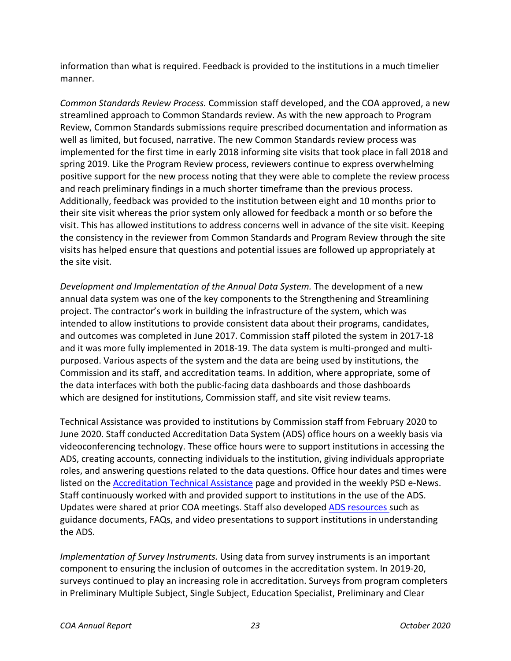information than what is required. Feedback is provided to the institutions in a much timelier manner.

*Common Standards Review Process.* Commission staff developed, and the COA approved, a new streamlined approach to Common Standards review. As with the new approach to Program Review, Common Standards submissions require prescribed documentation and information as well as limited, but focused, narrative. The new Common Standards review process was implemented for the first time in early 2018 informing site visits that took place in fall 2018 and spring 2019. Like the Program Review process, reviewers continue to express overwhelming positive support for the new process noting that they were able to complete the review process and reach preliminary findings in a much shorter timeframe than the previous process. Additionally, feedback was provided to the institution between eight and 10 months prior to their site visit whereas the prior system only allowed for feedback a month or so before the visit. This has allowed institutions to address concerns well in advance of the site visit. Keeping the consistency in the reviewer from Common Standards and Program Review through the site visits has helped ensure that questions and potential issues are followed up appropriately at the site visit.

*Development and Implementation of the Annual Data System.* The development of a new annual data system was one of the key components to the Strengthening and Streamlining project. The contractor's work in building the infrastructure of the system, which was intended to allow institutions to provide consistent data about their programs, candidates, and outcomes was completed in June 2017. Commission staff piloted the system in 2017-18 and it was more fully implemented in 2018-19. The data system is multi-pronged and multipurposed. Various aspects of the system and the data are being used by institutions, the Commission and its staff, and accreditation teams. In addition, where appropriate, some of the data interfaces with both the public-facing data dashboards and those dashboards which are designed for institutions, Commission staff, and site visit review teams.

Technical Assistance was provided to institutions by Commission staff from February 2020 to June 2020. Staff conducted Accreditation Data System (ADS) office hours on a weekly basis via videoconferencing technology. These office hours were to support institutions in accessing the ADS, creating accounts, connecting individuals to the institution, giving individuals appropriate roles, and answering questions related to the data questions. Office hour dates and times were listed on the [Accreditation Technical Assistance](https://www.ctc.ca.gov/educator-prep/accred-assist) page and provided in the weekly PSD e-News. Staff continuously worked with and provided support to institutions in the use of the ADS. Updates were shared at prior COA meetings. Staff also developed [ADS resources s](https://www.ctc.ca.gov/educator-prep/program-accred/accreditation-data-system-ads)uch as guidance documents, FAQs, and video presentations to support institutions in understanding the ADS.

*Implementation of Survey Instruments.* Using data from survey instruments is an important component to ensuring the inclusion of outcomes in the accreditation system. In 2019-20, surveys continued to play an increasing role in accreditation. Surveys from program completers in Preliminary Multiple Subject, Single Subject, Education Specialist, Preliminary and Clear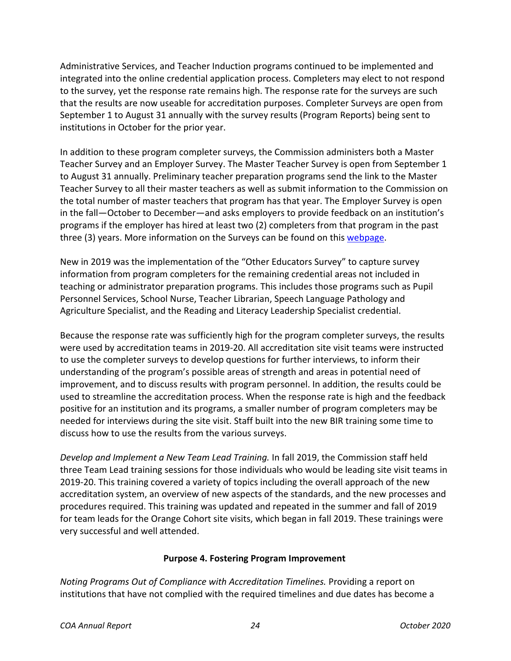Administrative Services, and Teacher Induction programs continued to be implemented and integrated into the online credential application process. Completers may elect to not respond to the survey, yet the response rate remains high. The response rate for the surveys are such that the results are now useable for accreditation purposes. Completer Surveys are open from September 1 to August 31 annually with the survey results (Program Reports) being sent to institutions in October for the prior year.

In addition to these program completer surveys, the Commission administers both a Master Teacher Survey and an Employer Survey. The Master Teacher Survey is open from September 1 to August 31 annually. Preliminary teacher preparation programs send the link to the Master Teacher Survey to all their master teachers as well as submit information to the Commission on the total number of master teachers that program has that year. The Employer Survey is open in the fall—October to December—and asks employers to provide feedback on an institution's programs if the employer has hired at least two (2) completers from that program in the past three (3) years. More information on the Surveys can be found on this [webpage.](https://www.ctc.ca.gov/educator-prep/completer-surveys)

New in 2019 was the implementation of the "Other Educators Survey" to capture survey information from program completers for the remaining credential areas not included in teaching or administrator preparation programs. This includes those programs such as Pupil Personnel Services, School Nurse, Teacher Librarian, Speech Language Pathology and Agriculture Specialist, and the Reading and Literacy Leadership Specialist credential.

Because the response rate was sufficiently high for the program completer surveys, the results were used by accreditation teams in 2019-20. All accreditation site visit teams were instructed to use the completer surveys to develop questions for further interviews, to inform their understanding of the program's possible areas of strength and areas in potential need of improvement, and to discuss results with program personnel. In addition, the results could be used to streamline the accreditation process. When the response rate is high and the feedback positive for an institution and its programs, a smaller number of program completers may be needed for interviews during the site visit. Staff built into the new BIR training some time to discuss how to use the results from the various surveys.

*Develop and Implement a New Team Lead Training.* In fall 2019, the Commission staff held three Team Lead training sessions for those individuals who would be leading site visit teams in 2019-20. This training covered a variety of topics including the overall approach of the new accreditation system, an overview of new aspects of the standards, and the new processes and procedures required. This training was updated and repeated in the summer and fall of 2019 for team leads for the Orange Cohort site visits, which began in fall 2019. These trainings were very successful and well attended.

## **Purpose 4. Fostering Program Improvement**

<span id="page-23-0"></span>*Noting Programs Out of Compliance with Accreditation Timelines.* Providing a report on institutions that have not complied with the required timelines and due dates has become a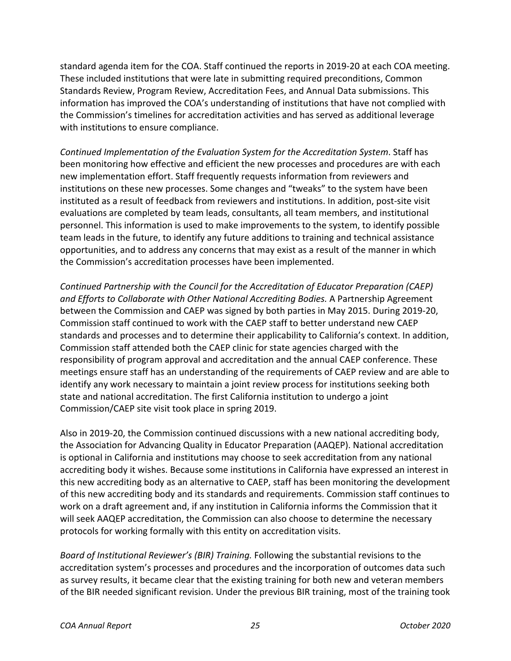standard agenda item for the COA. Staff continued the reports in 2019-20 at each COA meeting. These included institutions that were late in submitting required preconditions, Common Standards Review, Program Review, Accreditation Fees, and Annual Data submissions. This information has improved the COA's understanding of institutions that have not complied with the Commission's timelines for accreditation activities and has served as additional leverage with institutions to ensure compliance.

*Continued Implementation of the Evaluation System for the Accreditation System*. Staff has been monitoring how effective and efficient the new processes and procedures are with each new implementation effort. Staff frequently requests information from reviewers and institutions on these new processes. Some changes and "tweaks" to the system have been instituted as a result of feedback from reviewers and institutions. In addition, post-site visit evaluations are completed by team leads, consultants, all team members, and institutional personnel. This information is used to make improvements to the system, to identify possible team leads in the future, to identify any future additions to training and technical assistance opportunities, and to address any concerns that may exist as a result of the manner in which the Commission's accreditation processes have been implemented.

*Continued Partnership with the Council for the Accreditation of Educator Preparation (CAEP) and Efforts to Collaborate with Other National Accrediting Bodies.* A Partnership Agreement between the Commission and CAEP was signed by both parties in May 2015. During 2019-20, Commission staff continued to work with the CAEP staff to better understand new CAEP standards and processes and to determine their applicability to California's context. In addition, Commission staff attended both the CAEP clinic for state agencies charged with the responsibility of program approval and accreditation and the annual CAEP conference. These meetings ensure staff has an understanding of the requirements of CAEP review and are able to identify any work necessary to maintain a joint review process for institutions seeking both state and national accreditation. The first California institution to undergo a joint Commission/CAEP site visit took place in spring 2019.

Also in 2019-20, the Commission continued discussions with a new national accrediting body, the Association for Advancing Quality in Educator Preparation (AAQEP). National accreditation is optional in California and institutions may choose to seek accreditation from any national accrediting body it wishes. Because some institutions in California have expressed an interest in this new accrediting body as an alternative to CAEP, staff has been monitoring the development of this new accrediting body and its standards and requirements. Commission staff continues to work on a draft agreement and, if any institution in California informs the Commission that it will seek AAQEP accreditation, the Commission can also choose to determine the necessary protocols for working formally with this entity on accreditation visits.

*Board of Institutional Reviewer's (BIR) Training.* Following the substantial revisions to the accreditation system's processes and procedures and the incorporation of outcomes data such as survey results, it became clear that the existing training for both new and veteran members of the BIR needed significant revision. Under the previous BIR training, most of the training took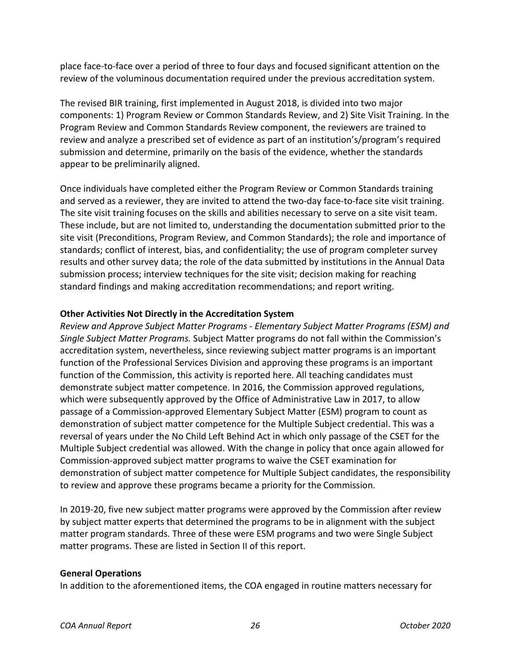place face-to-face over a period of three to four days and focused significant attention on the review of the voluminous documentation required under the previous accreditation system.

The revised BIR training, first implemented in August 2018, is divided into two major components: 1) Program Review or Common Standards Review, and 2) Site Visit Training. In the Program Review and Common Standards Review component, the reviewers are trained to review and analyze a prescribed set of evidence as part of an institution's/program's required submission and determine, primarily on the basis of the evidence, whether the standards appear to be preliminarily aligned.

Once individuals have completed either the Program Review or Common Standards training and served as a reviewer, they are invited to attend the two-day face-to-face site visit training. The site visit training focuses on the skills and abilities necessary to serve on a site visit team. These include, but are not limited to, understanding the documentation submitted prior to the site visit (Preconditions, Program Review, and Common Standards); the role and importance of standards; conflict of interest, bias, and confidentiality; the use of program completer survey results and other survey data; the role of the data submitted by institutions in the Annual Data submission process; interview techniques for the site visit; decision making for reaching standard findings and making accreditation recommendations; and report writing.

## **Other Activities Not Directly in the Accreditation System**

*Review and Approve Subject Matter Programs - Elementary Subject Matter Programs (ESM) and Single Subject Matter Programs.* Subject Matter programs do not fall within the Commission's accreditation system, nevertheless, since reviewing subject matter programs is an important function of the Professional Services Division and approving these programs is an important function of the Commission, this activity is reported here. All teaching candidates must demonstrate subject matter competence. In 2016, the Commission approved regulations, which were subsequently approved by the Office of Administrative Law in 2017, to allow passage of a Commission-approved Elementary Subject Matter (ESM) program to count as demonstration of subject matter competence for the Multiple Subject credential. This was a reversal of years under the No Child Left Behind Act in which only passage of the CSET for the Multiple Subject credential was allowed. With the change in policy that once again allowed for Commission-approved subject matter programs to waive the CSET examination for demonstration of subject matter competence for Multiple Subject candidates, the responsibility to review and approve these programs became a priority for the Commission.

In 2019-20, five new subject matter programs were approved by the Commission after review by subject matter experts that determined the programs to be in alignment with the subject matter program standards. Three of these were ESM programs and two were Single Subject matter programs. These are listed in Section II of this report.

## **General Operations**

In addition to the aforementioned items, the COA engaged in routine matters necessary for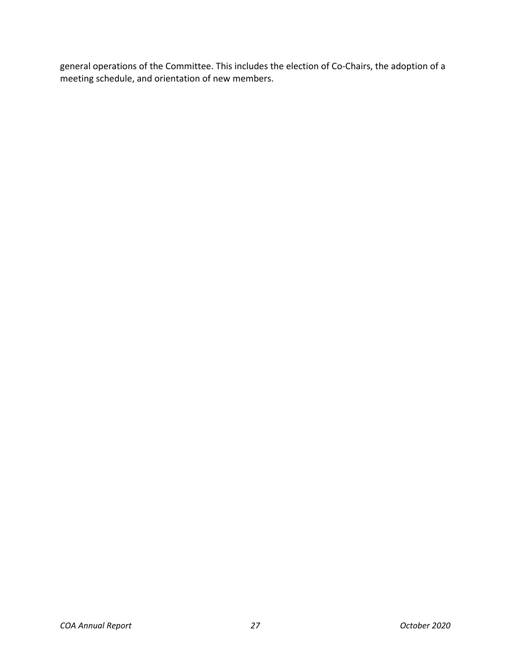general operations of the Committee. This includes the election of Co-Chairs, the adoption of a meeting schedule, and orientation of new members.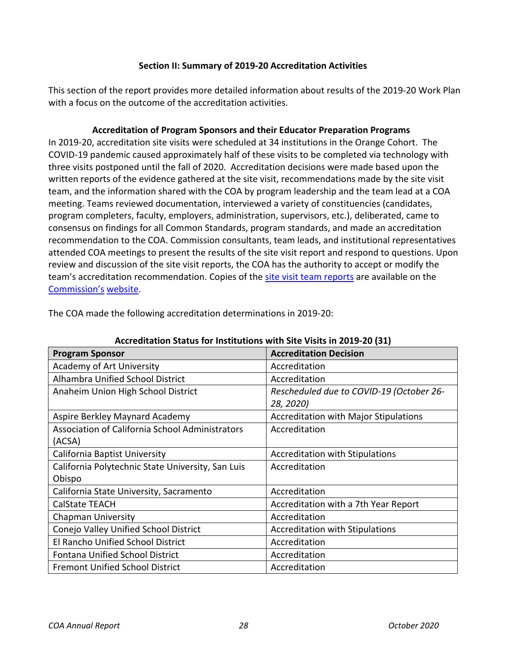### **Section II: Summary of 2019-20 Accreditation Activities**

<span id="page-27-0"></span>This section of the report provides more detailed information about results of the 2019-20 Work Plan with a focus on the outcome of the accreditation activities.

### **Accreditation of Program Sponsors and their Educator Preparation Programs**

<span id="page-27-1"></span>In 2019-20, accreditation site visits were scheduled at 34 institutions in the Orange Cohort. The COVID-19 pandemic caused approximately half of these visits to be completed via technology with three visits postponed until the fall of 2020. Accreditation decisions were made based upon the written reports of the evidence gathered at the site visit, recommendations made by the site visit team, and the information shared with the COA by program leadership and the team lead at a COA meeting. Teams reviewed documentation, interviewed a variety of constituencies (candidates, program completers, faculty, employers, administration, supervisors, etc.), deliberated, came to consensus on findings for all Common Standards, program standards, and made an accreditation recommendation to the COA. Commission consultants, team leads, and institutional representatives attended COA meetings to present the results of the site visit report and respond to questions. Upon review and discussion of the site visit reports, the COA has the authority to accept or modify the team's accreditation recommendation. Copies of the [site visit team reports](https://info.ctc.ca.gov/fmp/accreditation/accreditation_reports.php) are available on the Commission's website.

<span id="page-27-2"></span>

| ACCI CUILQUIDII JIQIUS TUT MISIILUIUDIIS WILII JILC VISILS III ZU1J-ZU (J1)<br><b>Accreditation Decision</b><br><b>Program Sponsor</b> |                                              |  |
|----------------------------------------------------------------------------------------------------------------------------------------|----------------------------------------------|--|
| Academy of Art University                                                                                                              | Accreditation                                |  |
| <b>Alhambra Unified School District</b>                                                                                                | Accreditation                                |  |
| Anaheim Union High School District                                                                                                     | Rescheduled due to COVID-19 (October 26-     |  |
|                                                                                                                                        | 28, 2020)                                    |  |
| Aspire Berkley Maynard Academy                                                                                                         | <b>Accreditation with Major Stipulations</b> |  |
| <b>Association of California School Administrators</b>                                                                                 | Accreditation                                |  |
| (ACSA)                                                                                                                                 |                                              |  |
| California Baptist University                                                                                                          | <b>Accreditation with Stipulations</b>       |  |
| California Polytechnic State University, San Luis                                                                                      | Accreditation                                |  |
| Obispo                                                                                                                                 |                                              |  |
| California State University, Sacramento                                                                                                | Accreditation                                |  |
| <b>CalState TEACH</b>                                                                                                                  | Accreditation with a 7th Year Report         |  |
| <b>Chapman University</b>                                                                                                              | Accreditation                                |  |
| Conejo Valley Unified School District                                                                                                  | <b>Accreditation with Stipulations</b>       |  |
| El Rancho Unified School District                                                                                                      | Accreditation                                |  |
| <b>Fontana Unified School District</b>                                                                                                 | Accreditation                                |  |
| <b>Fremont Unified School District</b>                                                                                                 | Accreditation                                |  |

The COA made the following accreditation determinations in 2019-20:

### **Accreditation Status for Institutions with Site Visits in 2019-20 (31)**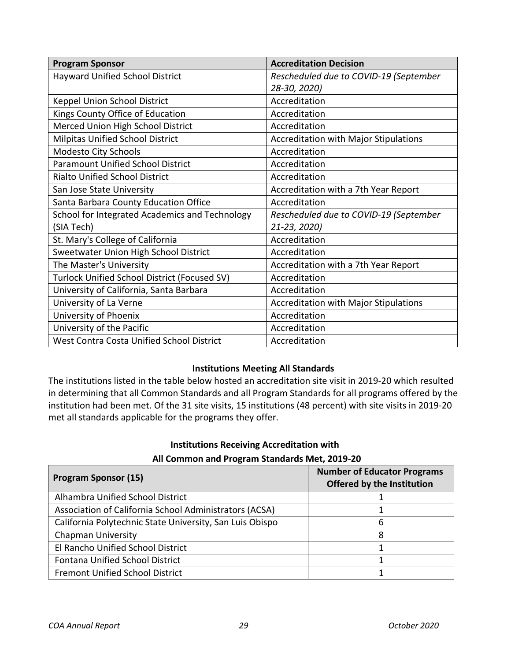| <b>Program Sponsor</b>                         | <b>Accreditation Decision</b>                |
|------------------------------------------------|----------------------------------------------|
| <b>Hayward Unified School District</b>         | Rescheduled due to COVID-19 (September       |
|                                                | 28-30, 2020)                                 |
| Keppel Union School District                   | Accreditation                                |
| Kings County Office of Education               | Accreditation                                |
| Merced Union High School District              | Accreditation                                |
| <b>Milpitas Unified School District</b>        | Accreditation with Major Stipulations        |
| <b>Modesto City Schools</b>                    | Accreditation                                |
| <b>Paramount Unified School District</b>       | Accreditation                                |
| <b>Rialto Unified School District</b>          | Accreditation                                |
| San Jose State University                      | Accreditation with a 7th Year Report         |
| Santa Barbara County Education Office          | Accreditation                                |
| School for Integrated Academics and Technology | Rescheduled due to COVID-19 (September       |
| (SIA Tech)                                     | 21-23, 2020)                                 |
| St. Mary's College of California               | Accreditation                                |
| Sweetwater Union High School District          | Accreditation                                |
| The Master's University                        | Accreditation with a 7th Year Report         |
| Turlock Unified School District (Focused SV)   | Accreditation                                |
| University of California, Santa Barbara        | Accreditation                                |
| University of La Verne                         | <b>Accreditation with Major Stipulations</b> |
| University of Phoenix                          | Accreditation                                |
| University of the Pacific                      | Accreditation                                |
| West Contra Costa Unified School District      | Accreditation                                |

### **Institutions Meeting All Standards**

<span id="page-28-0"></span>The institutions listed in the table below hosted an accreditation site visit in 2019-20 which resulted in determining that all Common Standards and all Program Standards for all programs offered by the institution had been met. Of the 31 site visits, 15 institutions (48 percent) with site visits in 2019-20 met all standards applicable for the programs they offer.

### **Institutions Receiving Accreditation with**

### **All Common and Program Standards Met, 2019-20**

<span id="page-28-1"></span>

| <b>Program Sponsor (15)</b>                              | <b>Number of Educator Programs</b><br>Offered by the Institution |
|----------------------------------------------------------|------------------------------------------------------------------|
| Alhambra Unified School District                         |                                                                  |
| Association of California School Administrators (ACSA)   |                                                                  |
| California Polytechnic State University, San Luis Obispo |                                                                  |
| <b>Chapman University</b>                                |                                                                  |
| El Rancho Unified School District                        |                                                                  |
| <b>Fontana Unified School District</b>                   |                                                                  |
| <b>Fremont Unified School District</b>                   |                                                                  |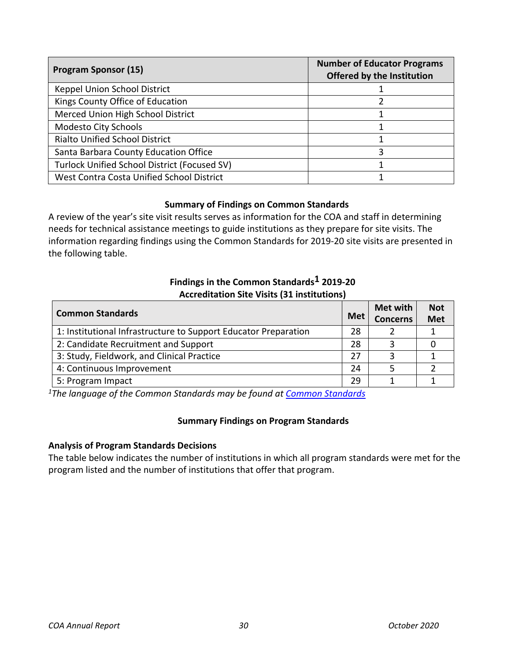| <b>Program Sponsor (15)</b>                  | <b>Number of Educator Programs</b><br><b>Offered by the Institution</b> |
|----------------------------------------------|-------------------------------------------------------------------------|
| Keppel Union School District                 |                                                                         |
| Kings County Office of Education             |                                                                         |
| Merced Union High School District            |                                                                         |
| <b>Modesto City Schools</b>                  |                                                                         |
| <b>Rialto Unified School District</b>        |                                                                         |
| Santa Barbara County Education Office        |                                                                         |
| Turlock Unified School District (Focused SV) |                                                                         |
| West Contra Costa Unified School District    |                                                                         |

## **Summary of Findings on Common Standards**

<span id="page-29-0"></span>A review of the year's site visit results serves as information for the COA and staff in determining needs for technical assistance meetings to guide institutions as they prepare for site visits. The information regarding findings using the Common Standards for 2019-20 site visits are presented in the following table.

## **Findings in the Common Standards1 2019-20 Accreditation Site Visits (31 institutions)**

<span id="page-29-1"></span>

| <b>Common Standards</b>                                         | <b>Met</b> | Met with<br><b>Concerns</b> | <b>Not</b><br><b>Met</b> |
|-----------------------------------------------------------------|------------|-----------------------------|--------------------------|
| 1: Institutional Infrastructure to Support Educator Preparation | 28         |                             |                          |
| 2: Candidate Recruitment and Support                            | 28         |                             |                          |
| 3: Study, Fieldwork, and Clinical Practice                      | 27         |                             |                          |
| 4: Continuous Improvement                                       | 24         |                             |                          |
| 5: Program Impact                                               | 29         |                             |                          |

<span id="page-29-2"></span>*1The language of the Common Standards may be found at [Common Standards](https://www.ctc.ca.gov/docs/default-source/educator-prep/standards/commonstandards-2015-pdf.pdf?sfvrsn=0)*

### **Summary Findings on Program Standards**

### **Analysis of Program Standards Decisions**

The table below indicates the number of institutions in which all program standards were met for the program listed and the number of institutions that offer that program.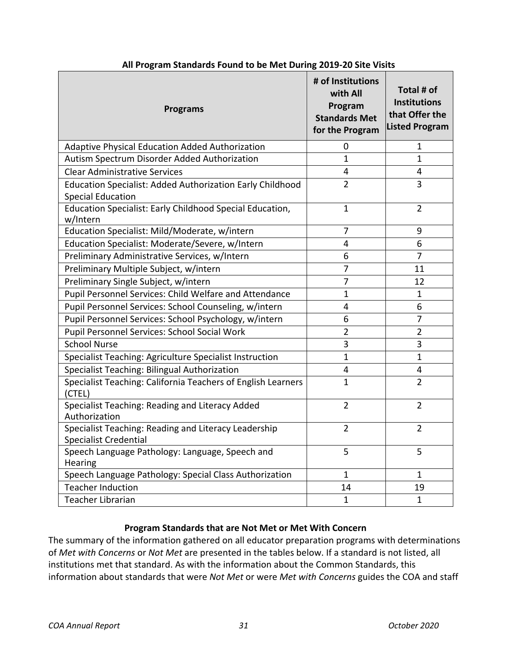<span id="page-30-0"></span>

| <b>Programs</b>                                                                              | # of Institutions<br>with All<br>Program<br><b>Standards Met</b><br>for the Program | Total # of<br><b>Institutions</b><br>that Offer the<br><b>Listed Program</b> |
|----------------------------------------------------------------------------------------------|-------------------------------------------------------------------------------------|------------------------------------------------------------------------------|
| Adaptive Physical Education Added Authorization                                              | 0                                                                                   | 1                                                                            |
| Autism Spectrum Disorder Added Authorization                                                 | $\mathbf{1}$                                                                        | $\mathbf{1}$                                                                 |
| <b>Clear Administrative Services</b>                                                         | $\overline{\mathbf{4}}$                                                             | 4                                                                            |
| <b>Education Specialist: Added Authorization Early Childhood</b><br><b>Special Education</b> | $\overline{2}$                                                                      | 3                                                                            |
| Education Specialist: Early Childhood Special Education,<br>w/Intern                         | $\mathbf{1}$                                                                        | $\overline{2}$                                                               |
| Education Specialist: Mild/Moderate, w/intern                                                | 7                                                                                   | 9                                                                            |
| Education Specialist: Moderate/Severe, w/Intern                                              | 4                                                                                   | 6                                                                            |
| Preliminary Administrative Services, w/Intern                                                | 6                                                                                   | $\overline{7}$                                                               |
| Preliminary Multiple Subject, w/intern                                                       | 7                                                                                   | 11                                                                           |
| Preliminary Single Subject, w/intern                                                         | $\overline{7}$                                                                      | 12                                                                           |
| Pupil Personnel Services: Child Welfare and Attendance                                       | $\mathbf{1}$                                                                        | $\mathbf 1$                                                                  |
| Pupil Personnel Services: School Counseling, w/intern                                        | 4                                                                                   | 6                                                                            |
| Pupil Personnel Services: School Psychology, w/intern                                        | 6                                                                                   | $\overline{7}$                                                               |
| Pupil Personnel Services: School Social Work                                                 | $\overline{2}$                                                                      | $\overline{2}$                                                               |
| <b>School Nurse</b>                                                                          | 3                                                                                   | 3                                                                            |
| Specialist Teaching: Agriculture Specialist Instruction                                      | $\mathbf{1}$                                                                        | $\overline{1}$                                                               |
| Specialist Teaching: Bilingual Authorization                                                 | 4                                                                                   | 4                                                                            |
| Specialist Teaching: California Teachers of English Learners<br>(CTEL)                       | $\mathbf{1}$                                                                        | $\overline{2}$                                                               |
| Specialist Teaching: Reading and Literacy Added<br>Authorization                             | $\overline{2}$                                                                      | $\overline{2}$                                                               |
| Specialist Teaching: Reading and Literacy Leadership<br><b>Specialist Credential</b>         | $\overline{2}$                                                                      | $\overline{2}$                                                               |
| Speech Language Pathology: Language, Speech and<br>Hearing                                   | 5                                                                                   | 5                                                                            |
| Speech Language Pathology: Special Class Authorization                                       | $\mathbf{1}$                                                                        | 1                                                                            |
| <b>Teacher Induction</b>                                                                     | 14                                                                                  | 19                                                                           |
| <b>Teacher Librarian</b>                                                                     | $\mathbf{1}$                                                                        | $\mathbf{1}$                                                                 |

#### **All Program Standards Found to be Met During 2019-20 Site Visits**

### **Program Standards that are Not Met or Met With Concern**

<span id="page-30-1"></span>The summary of the information gathered on all educator preparation programs with determinations of *Met with Concerns* or *Not Met* are presented in the tables below. If a standard is not listed, all institutions met that standard. As with the information about the Common Standards, this information about standards that were *Not Met* or were *Met with Concerns* guides the COA and staff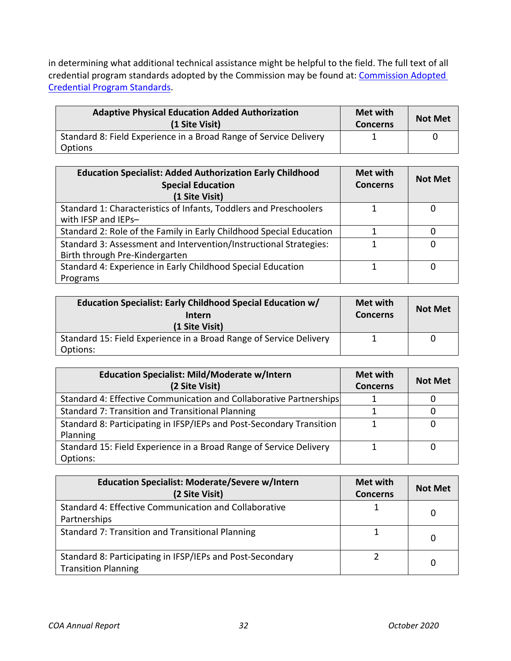in determining what additional technical assistance might be helpful to the field. The full text of all credential program standards adopted by the Commission may be found at: Commission Adopted [Credential Program Standards.](https://www.ctc.ca.gov/educator-prep/stds-prep-program)

| <b>Adaptive Physical Education Added Authorization</b><br>(1 Site Visit)     | Met with<br><b>Concerns</b> | <b>Not Met</b> |
|------------------------------------------------------------------------------|-----------------------------|----------------|
| Standard 8: Field Experience in a Broad Range of Service Delivery<br>Options |                             |                |

| <b>Education Specialist: Added Authorization Early Childhood</b><br><b>Special Education</b><br>(1 Site Visit) | Met with<br><b>Concerns</b> | <b>Not Met</b> |
|----------------------------------------------------------------------------------------------------------------|-----------------------------|----------------|
| Standard 1: Characteristics of Infants, Toddlers and Preschoolers<br>with IFSP and IEPs-                       |                             |                |
| Standard 2: Role of the Family in Early Childhood Special Education                                            |                             | O              |
| Standard 3: Assessment and Intervention/Instructional Strategies:<br>Birth through Pre-Kindergarten            |                             | O              |
| Standard 4: Experience in Early Childhood Special Education<br>Programs                                        |                             |                |

| Education Specialist: Early Childhood Special Education w/<br>Intern<br>(1 Site Visit) | <b>Met with</b><br><b>Concerns</b> | <b>Not Met</b> |
|----------------------------------------------------------------------------------------|------------------------------------|----------------|
| Standard 15: Field Experience in a Broad Range of Service Delivery<br>Options:         |                                    |                |

| <b>Education Specialist: Mild/Moderate w/Intern</b><br>(2 Site Visit)            | Met with<br><b>Concerns</b> | <b>Not Met</b> |
|----------------------------------------------------------------------------------|-----------------------------|----------------|
| Standard 4: Effective Communication and Collaborative Partnerships               |                             |                |
| Standard 7: Transition and Transitional Planning                                 |                             |                |
| Standard 8: Participating in IFSP/IEPs and Post-Secondary Transition<br>Planning |                             |                |
| Standard 15: Field Experience in a Broad Range of Service Delivery<br>Options:   |                             |                |

| <b>Education Specialist: Moderate/Severe w/Intern</b><br>(2 Site Visit)                 | Met with<br><b>Concerns</b> | <b>Not Met</b> |
|-----------------------------------------------------------------------------------------|-----------------------------|----------------|
| Standard 4: Effective Communication and Collaborative<br>Partnerships                   |                             | 0              |
| Standard 7: Transition and Transitional Planning                                        |                             | 0              |
| Standard 8: Participating in IFSP/IEPs and Post-Secondary<br><b>Transition Planning</b> |                             | 0              |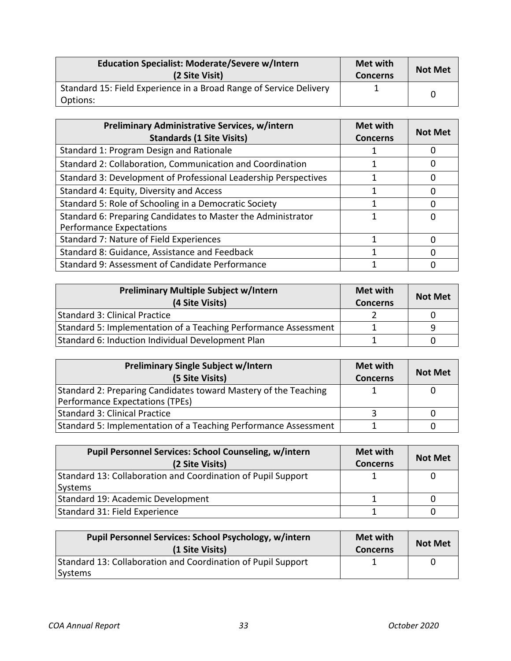| <b>Education Specialist: Moderate/Severe w/Intern</b><br>(2 Site Visit)        | Met with<br><b>Concerns</b> | <b>Not Met</b> |
|--------------------------------------------------------------------------------|-----------------------------|----------------|
| Standard 15: Field Experience in a Broad Range of Service Delivery<br>Options: |                             |                |

| <b>Preliminary Administrative Services, w/intern</b>            | Met with        | <b>Not Met</b> |
|-----------------------------------------------------------------|-----------------|----------------|
| <b>Standards (1 Site Visits)</b>                                | <b>Concerns</b> |                |
| Standard 1: Program Design and Rationale                        |                 |                |
| Standard 2: Collaboration, Communication and Coordination       |                 |                |
| Standard 3: Development of Professional Leadership Perspectives |                 |                |
| Standard 4: Equity, Diversity and Access                        |                 |                |
| Standard 5: Role of Schooling in a Democratic Society           |                 |                |
| Standard 6: Preparing Candidates to Master the Administrator    |                 |                |
| <b>Performance Expectations</b>                                 |                 |                |
| Standard 7: Nature of Field Experiences                         |                 |                |
| Standard 8: Guidance, Assistance and Feedback                   |                 |                |
| Standard 9: Assessment of Candidate Performance                 |                 |                |

| <b>Preliminary Multiple Subject w/Intern</b><br>(4 Site Visits) | Met with<br><b>Concerns</b> | <b>Not Met</b> |
|-----------------------------------------------------------------|-----------------------------|----------------|
| Standard 3: Clinical Practice                                   |                             |                |
| Standard 5: Implementation of a Teaching Performance Assessment |                             | q              |
| Standard 6: Induction Individual Development Plan               |                             |                |

| <b>Preliminary Single Subject w/Intern</b>                      | Met with        | <b>Not Met</b> |
|-----------------------------------------------------------------|-----------------|----------------|
| (5 Site Visits)                                                 | <b>Concerns</b> |                |
| Standard 2: Preparing Candidates toward Mastery of the Teaching |                 |                |
| Performance Expectations (TPEs)                                 |                 |                |
| <b>Standard 3: Clinical Practice</b>                            |                 |                |
| Standard 5: Implementation of a Teaching Performance Assessment |                 |                |

| <b>Pupil Personnel Services: School Counseling, w/intern</b><br>(2 Site Visits) | <b>Met with</b><br><b>Concerns</b> | <b>Not Met</b> |
|---------------------------------------------------------------------------------|------------------------------------|----------------|
| Standard 13: Collaboration and Coordination of Pupil Support<br>Systems         |                                    |                |
| Standard 19: Academic Development                                               |                                    |                |
| Standard 31: Field Experience                                                   |                                    |                |

| Pupil Personnel Services: School Psychology, w/intern<br>(1 Site Visits) | <b>Met with</b><br><b>Concerns</b> | <b>Not Met</b> |
|--------------------------------------------------------------------------|------------------------------------|----------------|
| Standard 13: Collaboration and Coordination of Pupil Support             |                                    |                |
| Systems                                                                  |                                    |                |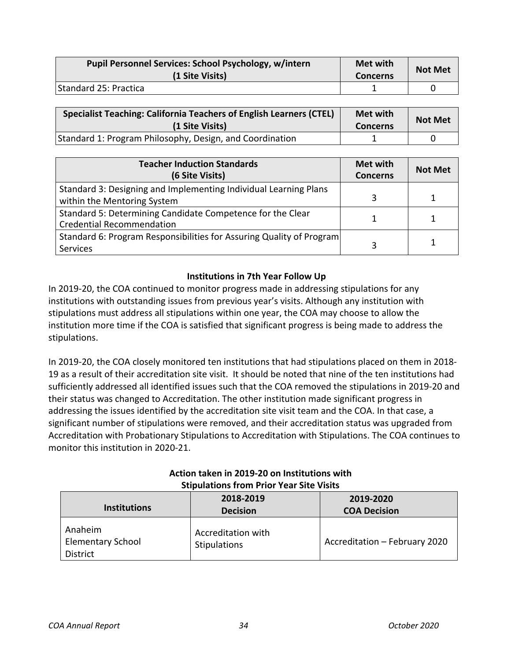| Pupil Personnel Services: School Psychology, w/intern<br>(1 Site Visits) | <b>Met with</b><br><b>Concerns</b> | <b>Not Met</b> |
|--------------------------------------------------------------------------|------------------------------------|----------------|
| Standard 25: Practica                                                    |                                    |                |

| <b>Specialist Teaching: California Teachers of English Learners (CTEL)</b><br>(1 Site Visits) | <b>Met with</b><br><b>Concerns</b> | <b>Not Met</b> |
|-----------------------------------------------------------------------------------------------|------------------------------------|----------------|
| Standard 1: Program Philosophy, Design, and Coordination                                      |                                    |                |

| <b>Teacher Induction Standards</b><br>(6 Site Visits)                                           | Met with<br><b>Concerns</b> | <b>Not Met</b> |
|-------------------------------------------------------------------------------------------------|-----------------------------|----------------|
| Standard 3: Designing and Implementing Individual Learning Plans<br>within the Mentoring System |                             |                |
| Standard 5: Determining Candidate Competence for the Clear<br><b>Credential Recommendation</b>  |                             |                |
| Standard 6: Program Responsibilities for Assuring Quality of Program<br>Services                | ੨                           | 1              |

## **Institutions in 7th Year Follow Up**

<span id="page-33-0"></span>In 2019-20, the COA continued to monitor progress made in addressing stipulations for any institutions with outstanding issues from previous year's visits. Although any institution with stipulations must address all stipulations within one year, the COA may choose to allow the institution more time if the COA is satisfied that significant progress is being made to address the stipulations.

In 2019-20, the COA closely monitored ten institutions that had stipulations placed on them in 2018- 19 as a result of their accreditation site visit. It should be noted that nine of the ten institutions had sufficiently addressed all identified issues such that the COA removed the stipulations in 2019-20 and their status was changed to Accreditation. The other institution made significant progress in addressing the issues identified by the accreditation site visit team and the COA. In that case, a significant number of stipulations were removed, and their accreditation status was upgraded from Accreditation with Probationary Stipulations to Accreditation with Stipulations. The COA continues to monitor this institution in 2020-21.

<span id="page-33-1"></span>

| Stipulations from Prior Year Site Visits               |                                    |                               |  |
|--------------------------------------------------------|------------------------------------|-------------------------------|--|
|                                                        | 2018-2019                          | 2019-2020                     |  |
| <b>Institutions</b>                                    | <b>Decision</b>                    | <b>COA Decision</b>           |  |
| Anaheim<br><b>Elementary School</b><br><b>District</b> | Accreditation with<br>Stipulations | Accreditation - February 2020 |  |

## **Action taken in 2019-20 on Institutions with Stipulations from Prior Year Site Visits**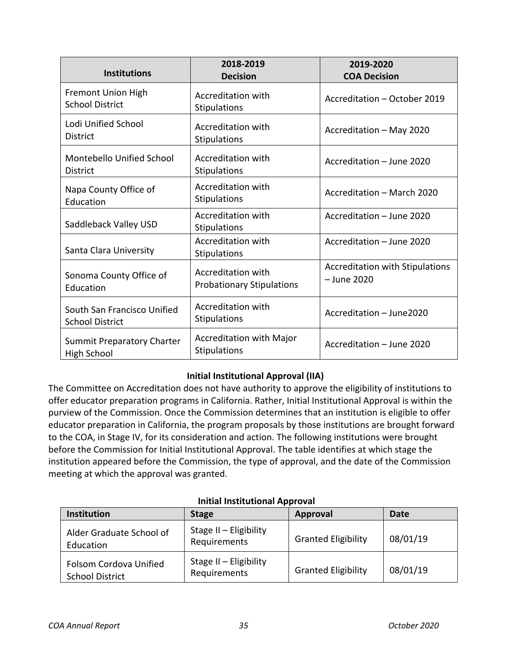| <b>Institutions</b>                                     | 2018-2019<br><b>Decision</b>                                  | 2019-2020<br><b>COA Decision</b>                      |
|---------------------------------------------------------|---------------------------------------------------------------|-------------------------------------------------------|
| <b>Fremont Union High</b><br><b>School District</b>     | Accreditation with<br><b>Stipulations</b>                     | Accreditation - October 2019                          |
| Lodi Unified School<br><b>District</b>                  | <b>Accreditation with</b><br><b>Stipulations</b>              | Accreditation - May 2020                              |
| Montebello Unified School<br><b>District</b>            | <b>Accreditation with</b><br><b>Stipulations</b>              | Accreditation - June 2020                             |
| Napa County Office of<br>Education                      | Accreditation with<br>Stipulations                            | Accreditation - March 2020                            |
| Saddleback Valley USD                                   | <b>Accreditation with</b><br>Stipulations                     | Accreditation - June 2020                             |
| Santa Clara University                                  | <b>Accreditation with</b><br><b>Stipulations</b>              | Accreditation - June 2020                             |
| Sonoma County Office of<br>Education                    | <b>Accreditation with</b><br><b>Probationary Stipulations</b> | <b>Accreditation with Stipulations</b><br>- June 2020 |
| South San Francisco Unified<br><b>School District</b>   | <b>Accreditation with</b><br>Stipulations                     | Accreditation - June2020                              |
| <b>Summit Preparatory Charter</b><br><b>High School</b> | Accreditation with Major<br>Stipulations                      | Accreditation - June 2020                             |

## **Initial Institutional Approval (IIA)**

The Committee on Accreditation does not have authority to approve the eligibility of institutions to offer educator preparation programs in California. Rather, Initial Institutional Approval is within the purview of the Commission. Once the Commission determines that an institution is eligible to offer educator preparation in California, the program proposals by those institutions are brought forward to the COA, in Stage IV, for its consideration and action. The following institutions were brought before the Commission for Initial Institutional Approval. The table identifies at which stage the institution appeared before the Commission, the type of approval, and the date of the Commission meeting at which the approval was granted.

<span id="page-34-0"></span>

| <b>Institution</b>                               | <b>Stage</b>                             | <b>Approval</b>            | Date     |
|--------------------------------------------------|------------------------------------------|----------------------------|----------|
| Alder Graduate School of<br>Education            | Stage II - Eligibility<br>Requirements   | <b>Granted Eligibility</b> | 08/01/19 |
| Folsom Cordova Unified<br><b>School District</b> | Stage $II$ – Eligibility<br>Requirements | <b>Granted Eligibility</b> | 08/01/19 |

### **Initial Institutional Approval**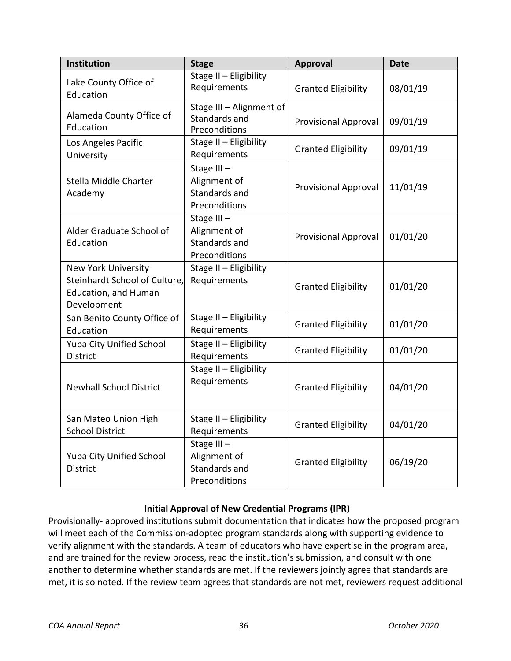| Institution                                                                                        | <b>Stage</b>                                                 | <b>Approval</b>             | <b>Date</b> |
|----------------------------------------------------------------------------------------------------|--------------------------------------------------------------|-----------------------------|-------------|
| Lake County Office of<br>Education                                                                 | Stage II - Eligibility<br>Requirements                       | <b>Granted Eligibility</b>  | 08/01/19    |
| Alameda County Office of<br>Education                                                              | Stage III - Alignment of<br>Standards and<br>Preconditions   | <b>Provisional Approval</b> | 09/01/19    |
| Los Angeles Pacific<br>University                                                                  | Stage II - Eligibility<br>Requirements                       | <b>Granted Eligibility</b>  | 09/01/19    |
| Stella Middle Charter<br>Academy                                                                   | Stage III-<br>Alignment of<br>Standards and<br>Preconditions | <b>Provisional Approval</b> | 11/01/19    |
| Alder Graduate School of<br>Education                                                              | Stage III-<br>Alignment of<br>Standards and<br>Preconditions | <b>Provisional Approval</b> | 01/01/20    |
| <b>New York University</b><br>Steinhardt School of Culture,<br>Education, and Human<br>Development | Stage II - Eligibility<br>Requirements                       | <b>Granted Eligibility</b>  | 01/01/20    |
| San Benito County Office of<br>Education                                                           | Stage II - Eligibility<br>Requirements                       | <b>Granted Eligibility</b>  | 01/01/20    |
| Yuba City Unified School<br>District                                                               | Stage II - Eligibility<br>Requirements                       | <b>Granted Eligibility</b>  | 01/01/20    |
| <b>Newhall School District</b>                                                                     | Stage II - Eligibility<br>Requirements                       | <b>Granted Eligibility</b>  | 04/01/20    |
| San Mateo Union High<br><b>School District</b>                                                     | Stage II - Eligibility<br>Requirements                       | <b>Granted Eligibility</b>  | 04/01/20    |
| Yuba City Unified School<br><b>District</b>                                                        | Stage III-<br>Alignment of<br>Standards and<br>Preconditions | <b>Granted Eligibility</b>  | 06/19/20    |

## **Initial Approval of New Credential Programs (IPR)**

<span id="page-35-0"></span>Provisionally- approved institutions submit documentation that indicates how the proposed program will meet each of the Commission-adopted program standards along with supporting evidence to verify alignment with the standards. A team of educators who have expertise in the program area, and are trained for the review process, read the institution's submission, and consult with one another to determine whether standards are met. If the reviewers jointly agree that standards are met, it is so noted. If the review team agrees that standards are not met, reviewers request additional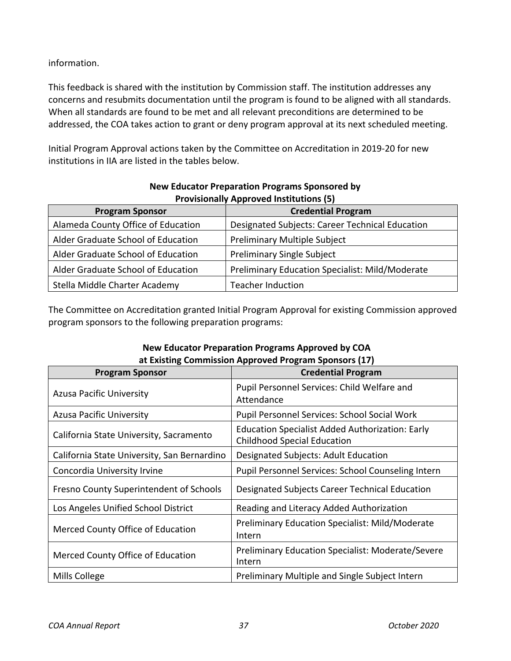information.

This feedback is shared with the institution by Commission staff. The institution addresses any concerns and resubmits documentation until the program is found to be aligned with all standards. When all standards are found to be met and all relevant preconditions are determined to be addressed, the COA takes action to grant or deny program approval at its next scheduled meeting.

Initial Program Approval actions taken by the Committee on Accreditation in 2019-20 for new institutions in IIA are listed in the tables below.

<span id="page-36-0"></span>

| <b>Provisionally Approved Institutions (5)</b> |                                                 |  |  |
|------------------------------------------------|-------------------------------------------------|--|--|
| <b>Program Sponsor</b>                         | <b>Credential Program</b>                       |  |  |
| Alameda County Office of Education             | Designated Subjects: Career Technical Education |  |  |
| Alder Graduate School of Education             | Preliminary Multiple Subject                    |  |  |
| Alder Graduate School of Education             | <b>Preliminary Single Subject</b>               |  |  |
| Alder Graduate School of Education             | Preliminary Education Specialist: Mild/Moderate |  |  |
| Stella Middle Charter Academy                  | <b>Teacher Induction</b>                        |  |  |

## **New Educator Preparation Programs Sponsored by Provisionally Approved Institutions (5)**

The Committee on Accreditation granted Initial Program Approval for existing Commission approved program sponsors to the following preparation programs:

<span id="page-36-1"></span>

| <b>Program Sponsor</b>                      | <b>Credential Program</b>                                                                    |  |  |
|---------------------------------------------|----------------------------------------------------------------------------------------------|--|--|
| <b>Azusa Pacific University</b>             | Pupil Personnel Services: Child Welfare and<br>Attendance                                    |  |  |
| <b>Azusa Pacific University</b>             | Pupil Personnel Services: School Social Work                                                 |  |  |
| California State University, Sacramento     | <b>Education Specialist Added Authorization: Early</b><br><b>Childhood Special Education</b> |  |  |
| California State University, San Bernardino | Designated Subjects: Adult Education                                                         |  |  |
| Concordia University Irvine                 | Pupil Personnel Services: School Counseling Intern                                           |  |  |
| Fresno County Superintendent of Schools     | Designated Subjects Career Technical Education                                               |  |  |
| Los Angeles Unified School District         | Reading and Literacy Added Authorization                                                     |  |  |
| Merced County Office of Education           | <b>Preliminary Education Specialist: Mild/Moderate</b><br>Intern                             |  |  |
| Merced County Office of Education           | Preliminary Education Specialist: Moderate/Severe<br>Intern                                  |  |  |
| Mills College                               | Preliminary Multiple and Single Subject Intern                                               |  |  |

## **New Educator Preparation Programs Approved by COA at Existing Commission Approved Program Sponsors (17)**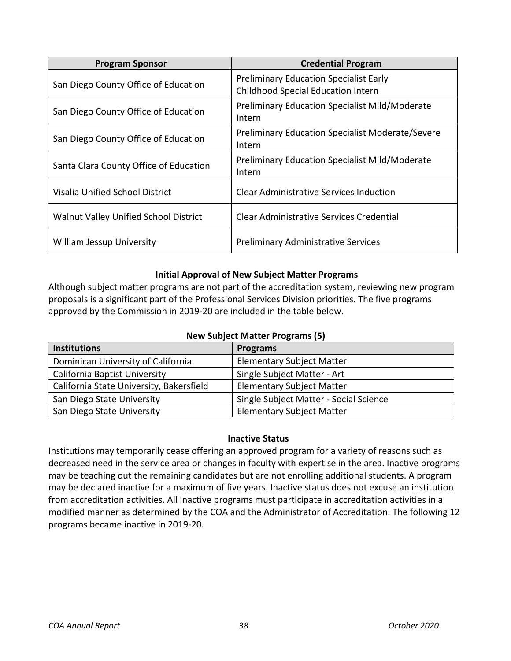| <b>Program Sponsor</b>                 | <b>Credential Program</b>                                                           |
|----------------------------------------|-------------------------------------------------------------------------------------|
| San Diego County Office of Education   | <b>Preliminary Education Specialist Early</b><br>Childhood Special Education Intern |
| San Diego County Office of Education   | <b>Preliminary Education Specialist Mild/Moderate</b><br>Intern                     |
| San Diego County Office of Education   | <b>Preliminary Education Specialist Moderate/Severe</b><br>Intern                   |
| Santa Clara County Office of Education | <b>Preliminary Education Specialist Mild/Moderate</b><br>Intern                     |
| Visalia Unified School District        | <b>Clear Administrative Services Induction</b>                                      |
| Walnut Valley Unified School District  | Clear Administrative Services Credential                                            |
| <b>William Jessup University</b>       | <b>Preliminary Administrative Services</b>                                          |

### **Initial Approval of New Subject Matter Programs**

<span id="page-37-0"></span>Although subject matter programs are not part of the accreditation system, reviewing new program proposals is a significant part of the Professional Services Division priorities. The five programs approved by the Commission in 2019-20 are included in the table below.

|  |  |  | <b>New Subject Matter Programs (5)</b> |  |
|--|--|--|----------------------------------------|--|
|--|--|--|----------------------------------------|--|

| <b>Institutions</b>                      | <b>Programs</b>                        |  |  |
|------------------------------------------|----------------------------------------|--|--|
| Dominican University of California       | <b>Elementary Subject Matter</b>       |  |  |
| <b>California Baptist University</b>     | Single Subject Matter - Art            |  |  |
| California State University, Bakersfield | <b>Elementary Subject Matter</b>       |  |  |
| San Diego State University               | Single Subject Matter - Social Science |  |  |
| San Diego State University               | <b>Elementary Subject Matter</b>       |  |  |

### **Inactive Status**

<span id="page-37-1"></span>Institutions may temporarily cease offering an approved program for a variety of reasons such as decreased need in the service area or changes in faculty with expertise in the area. Inactive programs may be teaching out the remaining candidates but are not enrolling additional students. A program may be declared inactive for a maximum of five years. Inactive status does not excuse an institution from accreditation activities. All inactive programs must participate in accreditation activities in a modified manner as determined by the COA and the Administrator of Accreditation. The following 12 programs became inactive in 2019-20.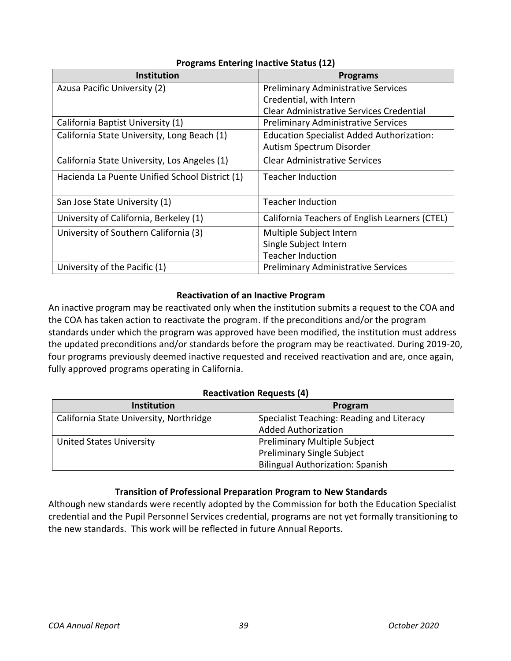| <b>Institution</b>                             | <b>Programs</b>                                  |
|------------------------------------------------|--------------------------------------------------|
| Azusa Pacific University (2)                   | <b>Preliminary Administrative Services</b>       |
|                                                | Credential, with Intern                          |
|                                                | Clear Administrative Services Credential         |
| California Baptist University (1)              | <b>Preliminary Administrative Services</b>       |
| California State University, Long Beach (1)    | <b>Education Specialist Added Authorization:</b> |
|                                                | Autism Spectrum Disorder                         |
| California State University, Los Angeles (1)   | <b>Clear Administrative Services</b>             |
| Hacienda La Puente Unified School District (1) | <b>Teacher Induction</b>                         |
|                                                |                                                  |
| San Jose State University (1)                  | <b>Teacher Induction</b>                         |
| University of California, Berkeley (1)         | California Teachers of English Learners (CTEL)   |
| University of Southern California (3)          | Multiple Subject Intern                          |
|                                                | Single Subject Intern                            |
|                                                | <b>Teacher Induction</b>                         |
| University of the Pacific (1)                  | <b>Preliminary Administrative Services</b>       |

## **Programs Entering Inactive Status (12)**

## **Reactivation of an Inactive Program**

<span id="page-38-0"></span>An inactive program may be reactivated only when the institution submits a request to the COA and the COA has taken action to reactivate the program. If the preconditions and/or the program standards under which the program was approved have been modified, the institution must address the updated preconditions and/or standards before the program may be reactivated. During 2019-20, four programs previously deemed inactive requested and received reactivation and are, once again, fully approved programs operating in California.

### **Reactivation Requests (4)**

| <b>Institution</b>                      | Program                                   |
|-----------------------------------------|-------------------------------------------|
| California State University, Northridge | Specialist Teaching: Reading and Literacy |
|                                         | <b>Added Authorization</b>                |
| <b>United States University</b>         | <b>Preliminary Multiple Subject</b>       |
|                                         | <b>Preliminary Single Subject</b>         |
|                                         | <b>Bilingual Authorization: Spanish</b>   |

## **Transition of Professional Preparation Program to New Standards**

<span id="page-38-1"></span>Although new standards were recently adopted by the Commission for both the Education Specialist credential and the Pupil Personnel Services credential, programs are not yet formally transitioning to the new standards. This work will be reflected in future Annual Reports.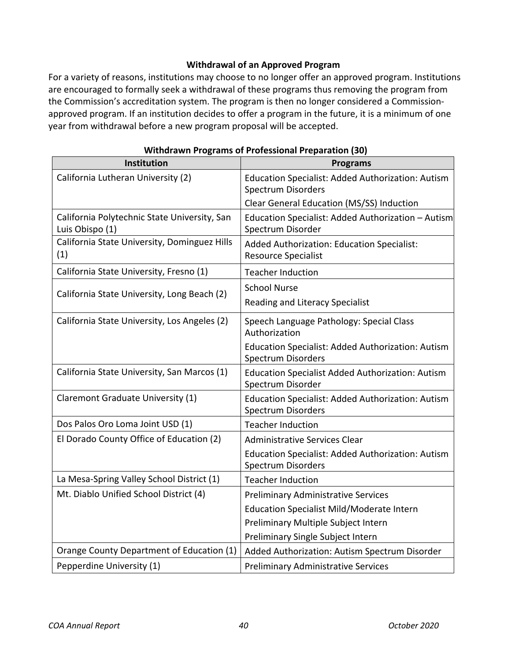## **Withdrawal of an Approved Program**

<span id="page-39-0"></span>For a variety of reasons, institutions may choose to no longer offer an approved program. Institutions are encouraged to formally seek a withdrawal of these programs thus removing the program from the Commission's accreditation system. The program is then no longer considered a Commissionapproved program. If an institution decides to offer a program in the future, it is a minimum of one year from withdrawal before a new program proposal will be accepted.

| Institution                                                     | <b>Programs</b>                                                                       |
|-----------------------------------------------------------------|---------------------------------------------------------------------------------------|
| California Lutheran University (2)                              | Education Specialist: Added Authorization: Autism<br><b>Spectrum Disorders</b>        |
|                                                                 | Clear General Education (MS/SS) Induction                                             |
| California Polytechnic State University, San<br>Luis Obispo (1) | Education Specialist: Added Authorization - Autism<br>Spectrum Disorder               |
| California State University, Dominguez Hills<br>(1)             | Added Authorization: Education Specialist:<br><b>Resource Specialist</b>              |
| California State University, Fresno (1)                         | <b>Teacher Induction</b>                                                              |
|                                                                 | <b>School Nurse</b>                                                                   |
| California State University, Long Beach (2)                     | <b>Reading and Literacy Specialist</b>                                                |
| California State University, Los Angeles (2)                    | Speech Language Pathology: Special Class<br>Authorization                             |
|                                                                 | Education Specialist: Added Authorization: Autism<br><b>Spectrum Disorders</b>        |
| California State University, San Marcos (1)                     | <b>Education Specialist Added Authorization: Autism</b><br>Spectrum Disorder          |
| Claremont Graduate University (1)                               | <b>Education Specialist: Added Authorization: Autism</b><br><b>Spectrum Disorders</b> |
| Dos Palos Oro Loma Joint USD (1)                                | <b>Teacher Induction</b>                                                              |
| El Dorado County Office of Education (2)                        | <b>Administrative Services Clear</b>                                                  |
|                                                                 | Education Specialist: Added Authorization: Autism<br>Spectrum Disorders               |
| La Mesa-Spring Valley School District (1)                       | <b>Teacher Induction</b>                                                              |
| Mt. Diablo Unified School District (4)                          | <b>Preliminary Administrative Services</b>                                            |
|                                                                 | Education Specialist Mild/Moderate Intern                                             |
|                                                                 | Preliminary Multiple Subject Intern                                                   |
|                                                                 | Preliminary Single Subject Intern                                                     |
| Orange County Department of Education (1)                       | Added Authorization: Autism Spectrum Disorder                                         |
| Pepperdine University (1)                                       | <b>Preliminary Administrative Services</b>                                            |

## **Withdrawn Programs of Professional Preparation (30)**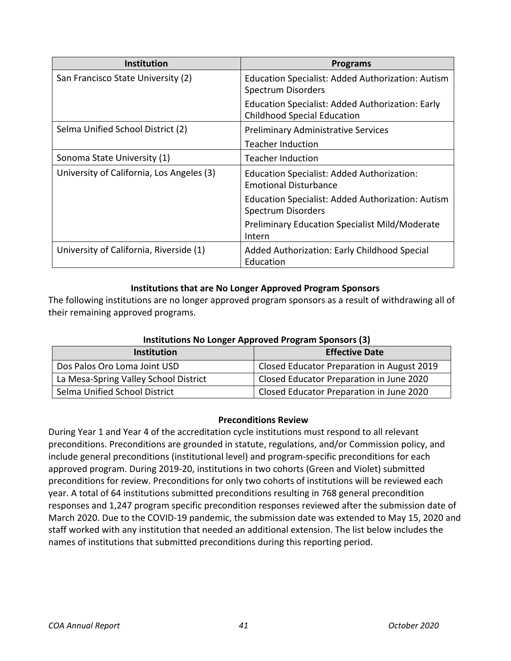| <b>Institution</b>                        | <b>Programs</b>                                                                               |
|-------------------------------------------|-----------------------------------------------------------------------------------------------|
| San Francisco State University (2)        | Education Specialist: Added Authorization: Autism<br><b>Spectrum Disorders</b>                |
|                                           | <b>Education Specialist: Added Authorization: Early</b><br><b>Childhood Special Education</b> |
| Selma Unified School District (2)         | <b>Preliminary Administrative Services</b>                                                    |
|                                           | <b>Teacher Induction</b>                                                                      |
| Sonoma State University (1)               | <b>Teacher Induction</b>                                                                      |
| University of California, Los Angeles (3) | Education Specialist: Added Authorization:<br><b>Emotional Disturbance</b>                    |
|                                           | Education Specialist: Added Authorization: Autism<br>Spectrum Disorders                       |
|                                           | <b>Preliminary Education Specialist Mild/Moderate</b><br>Intern                               |
| University of California, Riverside (1)   | Added Authorization: Early Childhood Special<br>Education                                     |

### **Institutions that are No Longer Approved Program Sponsors**

The following institutions are no longer approved program sponsors as a result of withdrawing all of their remaining approved programs.

<span id="page-40-0"></span>

| Institutions No Longer Approved Program Sponsors (3) |                                            |  |  |  |
|------------------------------------------------------|--------------------------------------------|--|--|--|
| <b>Institution</b>                                   | <b>Effective Date</b>                      |  |  |  |
| Dos Palos Oro Loma Joint USD                         | Closed Educator Preparation in August 2019 |  |  |  |
| La Mesa-Spring Valley School District                | Closed Educator Preparation in June 2020   |  |  |  |
| Selma Unified School District                        | Closed Educator Preparation in June 2020   |  |  |  |

## **Institutions No Longer Approved Program Sponsors (3)**

### **Preconditions Review**

<span id="page-40-1"></span>During Year 1 and Year 4 of the accreditation cycle institutions must respond to all relevant preconditions. Preconditions are grounded in statute, regulations, and/or Commission policy, and include general preconditions (institutional level) and program-specific preconditions for each approved program. During 2019-20, institutions in two cohorts (Green and Violet) submitted preconditions for review. Preconditions for only two cohorts of institutions will be reviewed each year. A total of 64 institutions submitted preconditions resulting in 768 general precondition responses and 1,247 program specific precondition responses reviewed after the submission date of March 2020. Due to the COVID-19 pandemic, the submission date was extended to May 15, 2020 and staff worked with any institution that needed an additional extension. The list below includes the names of institutions that submitted preconditions during this reporting period.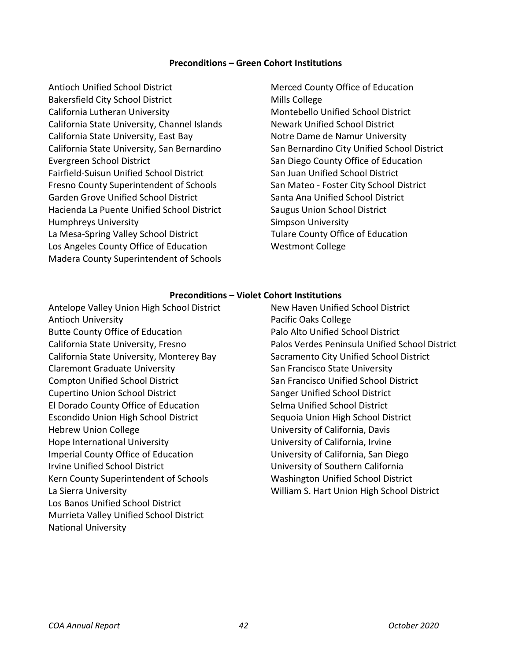#### **Preconditions – Green Cohort Institutions**

Antioch Unified School District Bakersfield City School District California Lutheran University California State University, Channel Islands California State University, East Bay California State University, San Bernardino Evergreen School District Fairfield-Suisun Unified School District Fresno County Superintendent of Schools Garden Grove Unified School District Hacienda La Puente Unified School District Humphreys University La Mesa-Spring Valley School District Los Angeles County Office of Education Madera County Superintendent of Schools

Merced County Office of Education Mills College Montebello Unified School District Newark Unified School District Notre Dame de Namur University San Bernardino City Unified School District San Diego County Office of Education San Juan Unified School District San Mateo - Foster City School District Santa Ana Unified School District Saugus Union School District Simpson University Tulare County Office of Education Westmont College

#### **Preconditions – Violet Cohort Institutions**

Antelope Valley Union High School District Antioch University Butte County Office of Education California State University, Fresno California State University, Monterey Bay Claremont Graduate University Compton Unified School District Cupertino Union School District El Dorado County Office of Education Escondido Union High School District Hebrew Union College Hope International University Imperial County Office of Education Irvine Unified School District Kern County Superintendent of Schools La Sierra University Los Banos Unified School District Murrieta Valley Unified School District National University

New Haven Unified School District Pacific Oaks College Palo Alto Unified School District Palos Verdes Peninsula Unified School District Sacramento City Unified School District San Francisco State University San Francisco Unified School District Sanger Unified School District Selma Unified School District Sequoia Union High School District University of California, Davis University of California, Irvine University of California, San Diego University of Southern California Washington Unified School District William S. Hart Union High School District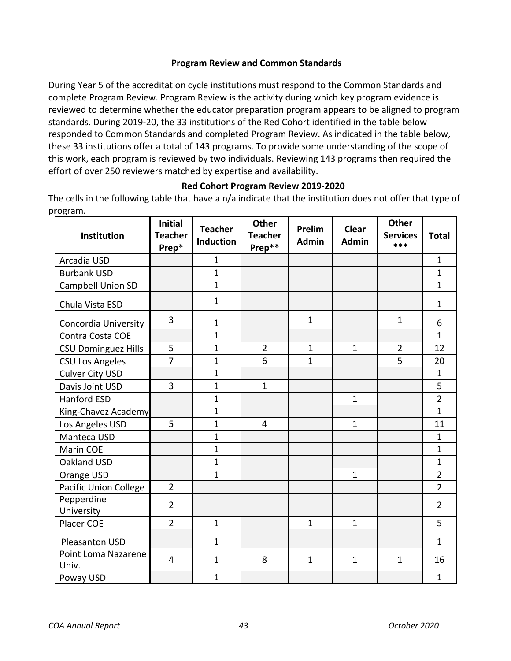### **Program Review and Common Standards**

<span id="page-42-0"></span>During Year 5 of the accreditation cycle institutions must respond to the Common Standards and complete Program Review. Program Review is the activity during which key program evidence is reviewed to determine whether the educator preparation program appears to be aligned to program standards. During 2019-20, the 33 institutions of the Red Cohort identified in the table below responded to Common Standards and completed Program Review. As indicated in the table below, these 33 institutions offer a total of 143 programs. To provide some understanding of the scope of this work, each program is reviewed by two individuals. Reviewing 143 programs then required the effort of over 250 reviewers matched by expertise and availability.

### **Red Cohort Program Review 2019-2020**

<span id="page-42-1"></span>The cells in the following table that have a n/a indicate that the institution does not offer that type of program.

| Institution                  | <b>Initial</b><br><b>Teacher</b><br>Prep* | <b>Teacher</b><br><b>Induction</b> | <b>Other</b><br><b>Teacher</b><br>Prep** | Prelim<br><b>Admin</b> | <b>Clear</b><br><b>Admin</b> | <b>Other</b><br><b>Services</b><br>*** | <b>Total</b>   |
|------------------------------|-------------------------------------------|------------------------------------|------------------------------------------|------------------------|------------------------------|----------------------------------------|----------------|
| Arcadia USD                  |                                           | $\mathbf{1}$                       |                                          |                        |                              |                                        | $\mathbf{1}$   |
| <b>Burbank USD</b>           |                                           | $\mathbf{1}$                       |                                          |                        |                              |                                        | $\overline{1}$ |
| Campbell Union SD            |                                           | $\mathbf{1}$                       |                                          |                        |                              |                                        | $\overline{1}$ |
| Chula Vista ESD              |                                           | $\mathbf{1}$                       |                                          |                        |                              |                                        | $\mathbf{1}$   |
| Concordia University         | 3                                         | $\mathbf{1}$                       |                                          | $\mathbf{1}$           |                              | 1                                      | 6              |
| Contra Costa COE             |                                           | $\mathbf{1}$                       |                                          |                        |                              |                                        | $\mathbf{1}$   |
| <b>CSU Dominguez Hills</b>   | 5                                         | $\mathbf{1}$                       | $\overline{2}$                           | $\mathbf{1}$           | $\mathbf{1}$                 | $\overline{2}$                         | 12             |
| <b>CSU Los Angeles</b>       | $\overline{7}$                            | 1                                  | 6                                        | 1                      |                              | 5                                      | 20             |
| <b>Culver City USD</b>       |                                           | $\mathbf{1}$                       |                                          |                        |                              |                                        | $\mathbf{1}$   |
| Davis Joint USD              | 3                                         | $\mathbf{1}$                       | $\mathbf{1}$                             |                        |                              |                                        | 5              |
| <b>Hanford ESD</b>           |                                           | $\mathbf{1}$                       |                                          |                        | $\mathbf{1}$                 |                                        | $\overline{2}$ |
| King-Chavez Academy          |                                           | $\mathbf{1}$                       |                                          |                        |                              |                                        | $\mathbf{1}$   |
| Los Angeles USD              | 5                                         | $\mathbf{1}$                       | $\overline{4}$                           |                        | $\mathbf{1}$                 |                                        | 11             |
| Manteca USD                  |                                           | $\mathbf{1}$                       |                                          |                        |                              |                                        | $\mathbf{1}$   |
| Marin COE                    |                                           | $\mathbf{1}$                       |                                          |                        |                              |                                        | $\overline{1}$ |
| Oakland USD                  |                                           | $\mathbf{1}$                       |                                          |                        |                              |                                        | $\mathbf{1}$   |
| Orange USD                   |                                           | $\mathbf{1}$                       |                                          |                        | $\mathbf{1}$                 |                                        | $\overline{2}$ |
| Pacific Union College        | $\overline{2}$                            |                                    |                                          |                        |                              |                                        | $\overline{2}$ |
| Pepperdine<br>University     | $\overline{2}$                            |                                    |                                          |                        |                              |                                        | $\overline{2}$ |
| Placer COE                   | $\overline{2}$                            | $\mathbf{1}$                       |                                          | $\mathbf{1}$           | $\mathbf{1}$                 |                                        | 5              |
| Pleasanton USD               |                                           | $\mathbf 1$                        |                                          |                        |                              |                                        | $\mathbf{1}$   |
| Point Loma Nazarene<br>Univ. | $\overline{4}$                            | $\mathbf{1}$                       | 8                                        | $\mathbf{1}$           | $\mathbf{1}$                 | $\mathbf{1}$                           | 16             |
| Poway USD                    |                                           | $\mathbf{1}$                       |                                          |                        |                              |                                        | $\mathbf{1}$   |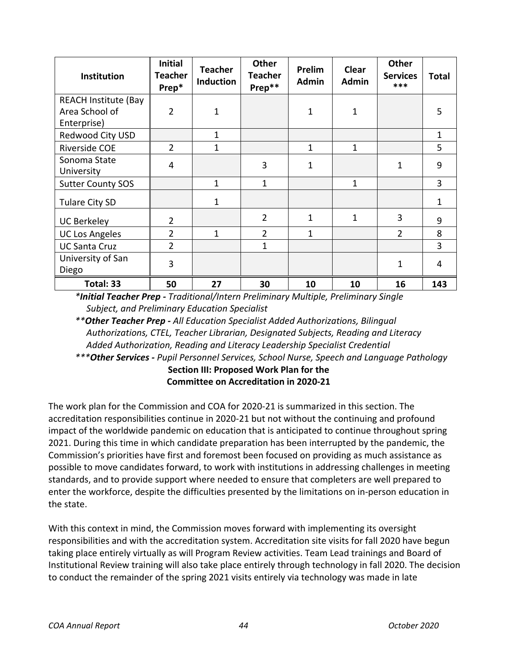| Institution                                                  | <b>Initial</b><br><b>Teacher</b><br>Prep* | <b>Teacher</b><br><b>Induction</b> | <b>Other</b><br><b>Teacher</b><br>Prep** | Prelim<br><b>Admin</b> | Clear<br><b>Admin</b> | <b>Other</b><br><b>Services</b><br>*** | <b>Total</b> |
|--------------------------------------------------------------|-------------------------------------------|------------------------------------|------------------------------------------|------------------------|-----------------------|----------------------------------------|--------------|
| <b>REACH Institute (Bay</b><br>Area School of<br>Enterprise) | $\overline{2}$                            | 1                                  |                                          | 1                      | 1                     |                                        | 5            |
| Redwood City USD                                             |                                           | 1                                  |                                          |                        |                       |                                        | 1            |
| Riverside COE                                                | $\overline{2}$                            | 1                                  |                                          | 1                      | 1                     |                                        | 5            |
| Sonoma State<br>University                                   | 4                                         |                                    | 3                                        | 1                      |                       | 1                                      | 9            |
| <b>Sutter County SOS</b>                                     |                                           | 1                                  | $\mathbf{1}$                             |                        | 1                     |                                        | 3            |
| Tulare City SD                                               |                                           | 1                                  |                                          |                        |                       |                                        | 1            |
| <b>UC Berkeley</b>                                           | $\overline{2}$                            |                                    | $\overline{2}$                           | 1                      | 1                     | 3                                      | 9            |
| <b>UC Los Angeles</b>                                        | $\overline{2}$                            | 1                                  | $\overline{2}$                           | 1                      |                       | $\overline{2}$                         | 8            |
| <b>UC Santa Cruz</b>                                         | $\overline{2}$                            |                                    | 1                                        |                        |                       |                                        | 3            |
| University of San<br>Diego                                   | 3                                         |                                    |                                          |                        |                       | 1                                      | 4            |
| Total: 33                                                    | 50                                        | 27                                 | 30                                       | 10                     | 10                    | 16                                     | 143          |

*\*Initial Teacher Prep - Traditional/Intern Preliminary Multiple, Preliminary Single Subject, and Preliminary Education Specialist*

*\*\*Other Teacher Prep - All Education Specialist Added Authorizations, Bilingual Authorizations, CTEL, Teacher Librarian, Designated Subjects, Reading and Literacy Added Authorization, Reading and Literacy Leadership Specialist Credential*

<span id="page-43-0"></span>*\*\*\*Other Services - Pupil Personnel Services, School Nurse, Speech and Language Pathology* **Section III: Proposed Work Plan for the**

**Committee on Accreditation in 2020-21**

The work plan for the Commission and COA for 2020-21 is summarized in this section. The accreditation responsibilities continue in 2020-21 but not without the continuing and profound impact of the worldwide pandemic on education that is anticipated to continue throughout spring 2021. During this time in which candidate preparation has been interrupted by the pandemic, the Commission's priorities have first and foremost been focused on providing as much assistance as possible to move candidates forward, to work with institutions in addressing challenges in meeting standards, and to provide support where needed to ensure that completers are well prepared to enter the workforce, despite the difficulties presented by the limitations on in-person education in the state.

With this context in mind, the Commission moves forward with implementing its oversight responsibilities and with the accreditation system. Accreditation site visits for fall 2020 have begun taking place entirely virtually as will Program Review activities. Team Lead trainings and Board of Institutional Review training will also take place entirely through technology in fall 2020. The decision to conduct the remainder of the spring 2021 visits entirely via technology was made in late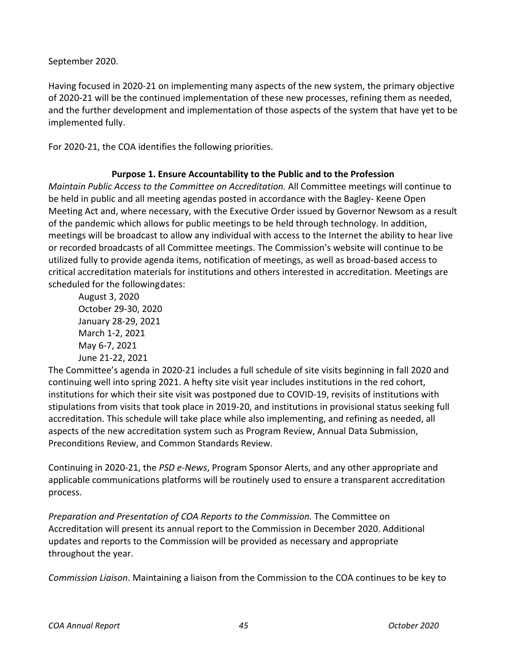September 2020.

Having focused in 2020-21 on implementing many aspects of the new system, the primary objective of 2020-21 will be the continued implementation of these new processes, refining them as needed, and the further development and implementation of those aspects of the system that have yet to be implemented fully.

For 2020-21, the COA identifies the following priorities.

## **Purpose 1. Ensure Accountability to the Public and to the Profession**

<span id="page-44-0"></span>*Maintain Public Access to the Committee on Accreditation.* All Committee meetings will continue to be held in public and all meeting agendas posted in accordance with the Bagley- Keene Open Meeting Act and, where necessary, with the Executive Order issued by Governor Newsom as a result of the pandemic which allows for public meetings to be held through technology. In addition, meetings will be broadcast to allow any individual with access to the Internet the ability to hear live or recorded broadcasts of all Committee meetings. The Commission's website will continue to be utilized fully to provide agenda items, notification of meetings, as well as broad-based access to critical accreditation materials for institutions and others interested in accreditation. Meetings are scheduled for the followingdates:

August 3, 2020 October 29-30, 2020 January 28-29, 2021 March 1-2, 2021 May 6-7, 2021 June 21-22, 2021

The Committee's agenda in 2020-21 includes a full schedule of site visits beginning in fall 2020 and continuing well into spring 2021. A hefty site visit year includes institutions in the red cohort, institutions for which their site visit was postponed due to COVID-19, revisits of institutions with stipulations from visits that took place in 2019-20, and institutions in provisional status seeking full accreditation. This schedule will take place while also implementing, and refining as needed, all aspects of the new accreditation system such as Program Review, Annual Data Submission, Preconditions Review, and Common Standards Review.

Continuing in 2020-21, the *PSD e-News*, Program Sponsor Alerts, and any other appropriate and applicable communications platforms will be routinely used to ensure a transparent accreditation process.

*Preparation and Presentation of COA Reports to the Commission.* The Committee on Accreditation will present its annual report to the Commission in December 2020. Additional updates and reports to the Commission will be provided as necessary and appropriate throughout the year.

*Commission Liaison*. Maintaining a liaison from the Commission to the COA continues to be key to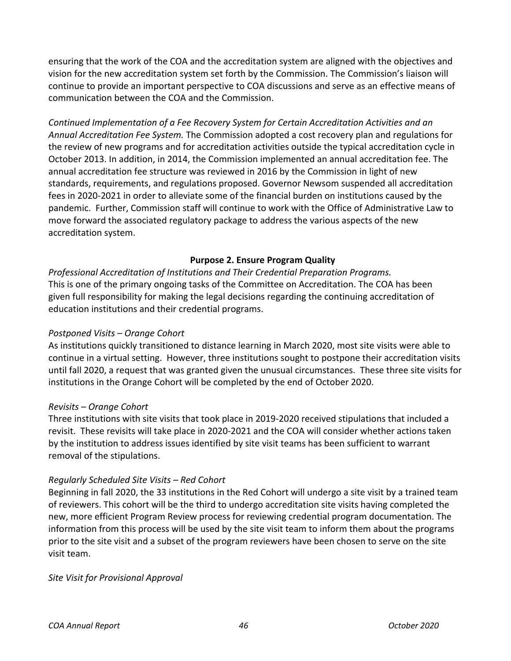ensuring that the work of the COA and the accreditation system are aligned with the objectives and vision for the new accreditation system set forth by the Commission. The Commission's liaison will continue to provide an important perspective to COA discussions and serve as an effective means of communication between the COA and the Commission.

*Continued Implementation of a Fee Recovery System for Certain Accreditation Activities and an Annual Accreditation Fee System.* The Commission adopted a cost recovery plan and regulations for the review of new programs and for accreditation activities outside the typical accreditation cycle in October 2013. In addition, in 2014, the Commission implemented an annual accreditation fee. The annual accreditation fee structure was reviewed in 2016 by the Commission in light of new standards, requirements, and regulations proposed. Governor Newsom suspended all accreditation fees in 2020-2021 in order to alleviate some of the financial burden on institutions caused by the pandemic. Further, Commission staff will continue to work with the Office of Administrative Law to move forward the associated regulatory package to address the various aspects of the new accreditation system.

### **Purpose 2. Ensure Program Quality**

<span id="page-45-0"></span>*Professional Accreditation of Institutions and Their Credential Preparation Programs.*  This is one of the primary ongoing tasks of the Committee on Accreditation. The COA has been given full responsibility for making the legal decisions regarding the continuing accreditation of education institutions and their credential programs.

### *Postponed Visits – Orange Cohort*

As institutions quickly transitioned to distance learning in March 2020, most site visits were able to continue in a virtual setting. However, three institutions sought to postpone their accreditation visits until fall 2020, a request that was granted given the unusual circumstances. These three site visits for institutions in the Orange Cohort will be completed by the end of October 2020.

### *Revisits – Orange Cohort*

Three institutions with site visits that took place in 2019-2020 received stipulations that included a revisit. These revisits will take place in 2020-2021 and the COA will consider whether actions taken by the institution to address issues identified by site visit teams has been sufficient to warrant removal of the stipulations.

### *Regularly Scheduled Site Visits – Red Cohort*

Beginning in fall 2020, the 33 institutions in the Red Cohort will undergo a site visit by a trained team of reviewers. This cohort will be the third to undergo accreditation site visits having completed the new, more efficient Program Review process for reviewing credential program documentation. The information from this process will be used by the site visit team to inform them about the programs prior to the site visit and a subset of the program reviewers have been chosen to serve on the site visit team.

#### *Site Visit for Provisional Approval*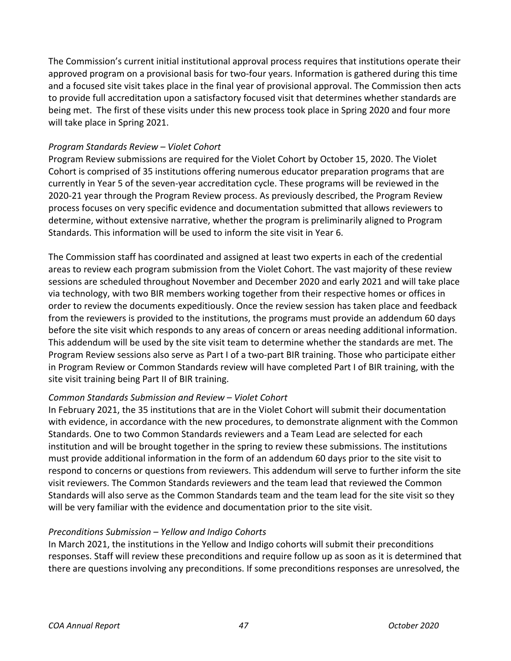The Commission's current initial institutional approval process requires that institutions operate their approved program on a provisional basis for two-four years. Information is gathered during this time and a focused site visit takes place in the final year of provisional approval. The Commission then acts to provide full accreditation upon a satisfactory focused visit that determines whether standards are being met. The first of these visits under this new process took place in Spring 2020 and four more will take place in Spring 2021.

## *Program Standards Review – Violet Cohort*

Program Review submissions are required for the Violet Cohort by October 15, 2020. The Violet Cohort is comprised of 35 institutions offering numerous educator preparation programs that are currently in Year 5 of the seven-year accreditation cycle. These programs will be reviewed in the 2020-21 year through the Program Review process. As previously described, the Program Review process focuses on very specific evidence and documentation submitted that allows reviewers to determine, without extensive narrative, whether the program is preliminarily aligned to Program Standards. This information will be used to inform the site visit in Year 6.

The Commission staff has coordinated and assigned at least two experts in each of the credential areas to review each program submission from the Violet Cohort. The vast majority of these review sessions are scheduled throughout November and December 2020 and early 2021 and will take place via technology, with two BIR members working together from their respective homes or offices in order to review the documents expeditiously. Once the review session has taken place and feedback from the reviewers is provided to the institutions, the programs must provide an addendum 60 days before the site visit which responds to any areas of concern or areas needing additional information. This addendum will be used by the site visit team to determine whether the standards are met. The Program Review sessions also serve as Part I of a two-part BIR training. Those who participate either in Program Review or Common Standards review will have completed Part I of BIR training, with the site visit training being Part II of BIR training.

## *Common Standards Submission and Review* – *Violet Cohort*

In February 2021, the 35 institutions that are in the Violet Cohort will submit their documentation with evidence, in accordance with the new procedures, to demonstrate alignment with the Common Standards. One to two Common Standards reviewers and a Team Lead are selected for each institution and will be brought together in the spring to review these submissions. The institutions must provide additional information in the form of an addendum 60 days prior to the site visit to respond to concerns or questions from reviewers. This addendum will serve to further inform the site visit reviewers. The Common Standards reviewers and the team lead that reviewed the Common Standards will also serve as the Common Standards team and the team lead for the site visit so they will be very familiar with the evidence and documentation prior to the site visit.

### *Preconditions Submission* – *Yellow and Indigo Cohorts*

In March 2021, the institutions in the Yellow and Indigo cohorts will submit their preconditions responses. Staff will review these preconditions and require follow up as soon as it is determined that there are questions involving any preconditions. If some preconditions responses are unresolved, the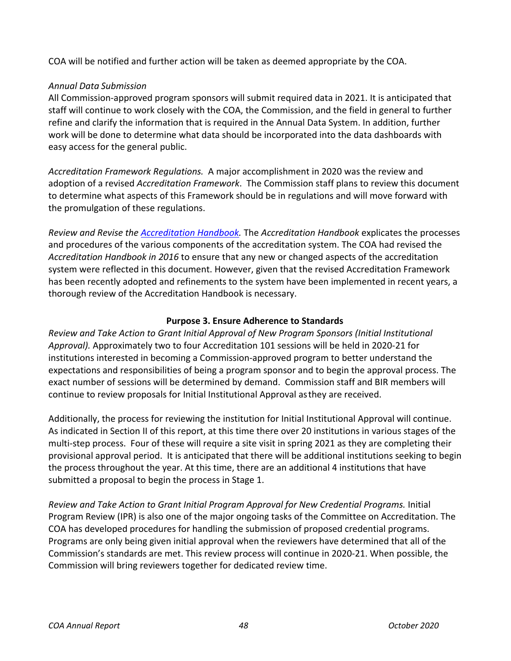COA will be notified and further action will be taken as deemed appropriate by the COA.

## *Annual Data Submission*

All Commission-approved program sponsors will submit required data in 2021. It is anticipated that staff will continue to work closely with the COA, the Commission, and the field in general to further refine and clarify the information that is required in the Annual Data System. In addition, further work will be done to determine what data should be incorporated into the data dashboards with easy access for the general public.

*Accreditation Framework Regulations.* A major accomplishment in 2020 was the review and adoption of a revised *Accreditation Framework*. The Commission staff plans to review this document to determine what aspects of this Framework should be in regulations and will move forward with the promulgation of these regulations.

*Review and Revise th[e Accreditation Handbook.](https://www.ctc.ca.gov/educator-prep/accred-handbook)* The *Accreditation Handbook* explicates the processes and procedures of the various components of the accreditation system. The COA had revised the *Accreditation Handbook in 2016* to ensure that any new or changed aspects of the accreditation system were reflected in this document. However, given that the revised Accreditation Framework has been recently adopted and refinements to the system have been implemented in recent years, a thorough review of the Accreditation Handbook is necessary.

### **Purpose 3. Ensure Adherence to Standards**

<span id="page-47-0"></span>*Review and Take Action to Grant Initial Approval of New Program Sponsors (Initial Institutional Approval).* Approximately two to four Accreditation 101 sessions will be held in 2020-21 for institutions interested in becoming a Commission-approved program to better understand the expectations and responsibilities of being a program sponsor and to begin the approval process. The exact number of sessions will be determined by demand. Commission staff and BIR members will continue to review proposals for Initial Institutional Approval asthey are received.

Additionally, the process for reviewing the institution for Initial Institutional Approval will continue. As indicated in Section II of this report, at this time there over 20 institutions in various stages of the multi-step process. Four of these will require a site visit in spring 2021 as they are completing their provisional approval period. It is anticipated that there will be additional institutions seeking to begin the process throughout the year. At this time, there are an additional 4 institutions that have submitted a proposal to begin the process in Stage 1.

*Review and Take Action to Grant Initial Program Approval for New Credential Programs.* Initial Program Review (IPR) is also one of the major ongoing tasks of the Committee on Accreditation. The COA has developed procedures for handling the submission of proposed credential programs. Programs are only being given initial approval when the reviewers have determined that all of the Commission's standards are met. This review process will continue in 2020-21. When possible, the Commission will bring reviewers together for dedicated review time.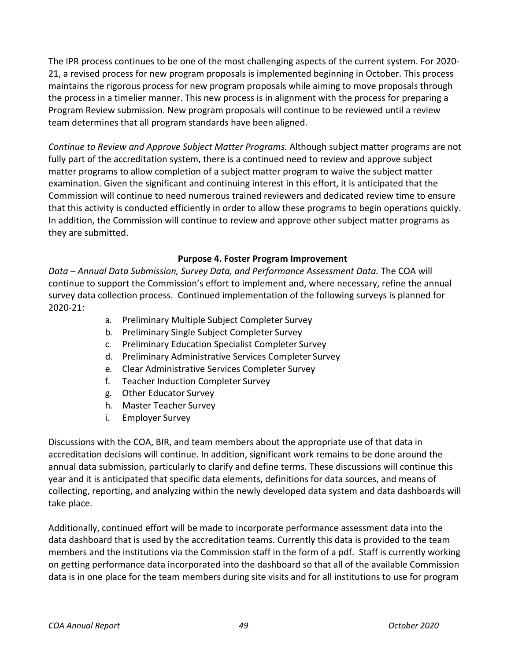The IPR process continues to be one of the most challenging aspects of the current system. For 2020- 21, a revised process for new program proposals is implemented beginning in October. This process maintains the rigorous process for new program proposals while aiming to move proposals through the process in a timelier manner. This new process is in alignment with the process for preparing a Program Review submission. New program proposals will continue to be reviewed until a review team determines that all program standards have been aligned.

*Continue to Review and Approve Subject Matter Programs.* Although subject matter programs are not fully part of the accreditation system, there is a continued need to review and approve subject matter programs to allow completion of a subject matter program to waive the subject matter examination. Given the significant and continuing interest in this effort, it is anticipated that the Commission will continue to need numerous trained reviewers and dedicated review time to ensure that this activity is conducted efficiently in order to allow these programs to begin operations quickly. In addition, the Commission will continue to review and approve other subject matter programs as they are submitted.

### **Purpose 4. Foster Program Improvement**

<span id="page-48-0"></span>*Data – Annual Data Submission, Survey Data, and Performance Assessment Data.* The COA will continue to support the Commission's effort to implement and, where necessary, refine the annual survey data collection process. Continued implementation of the following surveys is planned for 2020-21:

- a. Preliminary Multiple Subject Completer Survey
- b. Preliminary Single Subject Completer Survey
- c. Preliminary Education Specialist Completer Survey
- d. Preliminary Administrative Services Completer Survey
- e. Clear Administrative Services Completer Survey
- f. Teacher Induction Completer Survey
- g. Other Educator Survey
- h. Master Teacher Survey
- i. Employer Survey

Discussions with the COA, BIR, and team members about the appropriate use of that data in accreditation decisions will continue. In addition, significant work remains to be done around the annual data submission, particularly to clarify and define terms. These discussions will continue this year and it is anticipated that specific data elements, definitions for data sources, and means of collecting, reporting, and analyzing within the newly developed data system and data dashboards will take place.

Additionally, continued effort will be made to incorporate performance assessment data into the data dashboard that is used by the accreditation teams. Currently this data is provided to the team members and the institutions via the Commission staff in the form of a pdf. Staff is currently working on getting performance data incorporated into the dashboard so that all of the available Commission data is in one place for the team members during site visits and for all institutions to use for program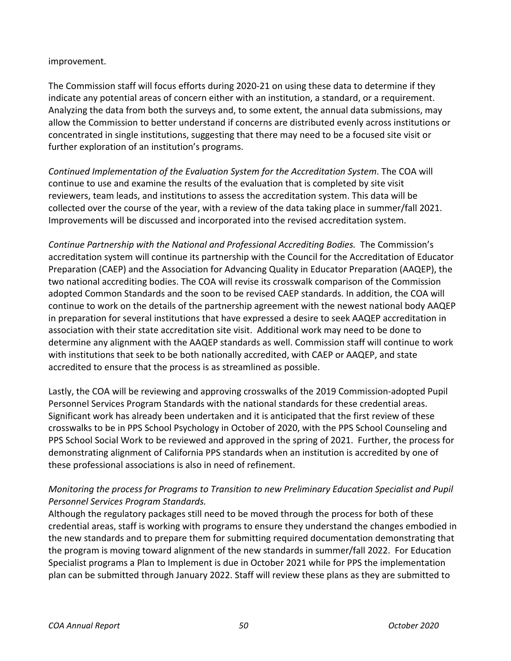### improvement.

The Commission staff will focus efforts during 2020-21 on using these data to determine if they indicate any potential areas of concern either with an institution, a standard, or a requirement. Analyzing the data from both the surveys and, to some extent, the annual data submissions, may allow the Commission to better understand if concerns are distributed evenly across institutions or concentrated in single institutions, suggesting that there may need to be a focused site visit or further exploration of an institution's programs.

*Continued Implementation of the Evaluation System for the Accreditation System*. The COA will continue to use and examine the results of the evaluation that is completed by site visit reviewers, team leads, and institutions to assess the accreditation system. This data will be collected over the course of the year, with a review of the data taking place in summer/fall 2021. Improvements will be discussed and incorporated into the revised accreditation system.

*Continue Partnership with the National and Professional Accrediting Bodies.* The Commission's accreditation system will continue its partnership with the Council for the Accreditation of Educator Preparation (CAEP) and the Association for Advancing Quality in Educator Preparation (AAQEP), the two national accrediting bodies. The COA will revise its crosswalk comparison of the Commission adopted Common Standards and the soon to be revised CAEP standards. In addition, the COA will continue to work on the details of the partnership agreement with the newest national body AAQEP in preparation for several institutions that have expressed a desire to seek AAQEP accreditation in association with their state accreditation site visit. Additional work may need to be done to determine any alignment with the AAQEP standards as well. Commission staff will continue to work with institutions that seek to be both nationally accredited, with CAEP or AAQEP, and state accredited to ensure that the process is as streamlined as possible.

Lastly, the COA will be reviewing and approving crosswalks of the 2019 Commission-adopted Pupil Personnel Services Program Standards with the national standards for these credential areas. Significant work has already been undertaken and it is anticipated that the first review of these crosswalks to be in PPS School Psychology in October of 2020, with the PPS School Counseling and PPS School Social Work to be reviewed and approved in the spring of 2021. Further, the process for demonstrating alignment of California PPS standards when an institution is accredited by one of these professional associations is also in need of refinement.

## *Monitoring the process for Programs to Transition to new Preliminary Education Specialist and Pupil Personnel Services Program Standards.*

Although the regulatory packages still need to be moved through the process for both of these credential areas, staff is working with programs to ensure they understand the changes embodied in the new standards and to prepare them for submitting required documentation demonstrating that the program is moving toward alignment of the new standards in summer/fall 2022. For Education Specialist programs a Plan to Implement is due in October 2021 while for PPS the implementation plan can be submitted through January 2022. Staff will review these plans as they are submitted to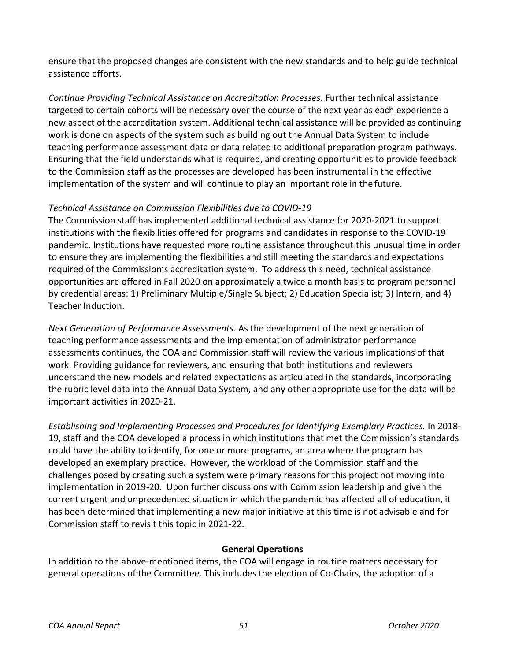ensure that the proposed changes are consistent with the new standards and to help guide technical assistance efforts.

*Continue Providing Technical Assistance on Accreditation Processes.* Further technical assistance targeted to certain cohorts will be necessary over the course of the next year as each experience a new aspect of the accreditation system. Additional technical assistance will be provided as continuing work is done on aspects of the system such as building out the Annual Data System to include teaching performance assessment data or data related to additional preparation program pathways. Ensuring that the field understands what is required, and creating opportunities to provide feedback to the Commission staff as the processes are developed has been instrumental in the effective implementation of the system and will continue to play an important role in the future.

## *Technical Assistance on Commission Flexibilities due to COVID-19*

The Commission staff has implemented additional technical assistance for 2020-2021 to support institutions with the flexibilities offered for programs and candidates in response to the COVID-19 pandemic. Institutions have requested more routine assistance throughout this unusual time in order to ensure they are implementing the flexibilities and still meeting the standards and expectations required of the Commission's accreditation system. To address this need, technical assistance opportunities are offered in Fall 2020 on approximately a twice a month basis to program personnel by credential areas: 1) Preliminary Multiple/Single Subject; 2) Education Specialist; 3) Intern, and 4) Teacher Induction.

*Next Generation of Performance Assessments.* As the development of the next generation of teaching performance assessments and the implementation of administrator performance assessments continues, the COA and Commission staff will review the various implications of that work. Providing guidance for reviewers, and ensuring that both institutions and reviewers understand the new models and related expectations as articulated in the standards, incorporating the rubric level data into the Annual Data System, and any other appropriate use for the data will be important activities in 2020-21.

*Establishing and Implementing Processes and Procedures for Identifying Exemplary Practices.* In 2018- 19, staff and the COA developed a process in which institutions that met the Commission's standards could have the ability to identify, for one or more programs, an area where the program has developed an exemplary practice. However, the workload of the Commission staff and the challenges posed by creating such a system were primary reasons for this project not moving into implementation in 2019-20. Upon further discussions with Commission leadership and given the current urgent and unprecedented situation in which the pandemic has affected all of education, it has been determined that implementing a new major initiative at this time is not advisable and for Commission staff to revisit this topic in 2021-22.

## **General Operations**

<span id="page-50-0"></span>In addition to the above-mentioned items, the COA will engage in routine matters necessary for general operations of the Committee. This includes the election of Co-Chairs, the adoption of a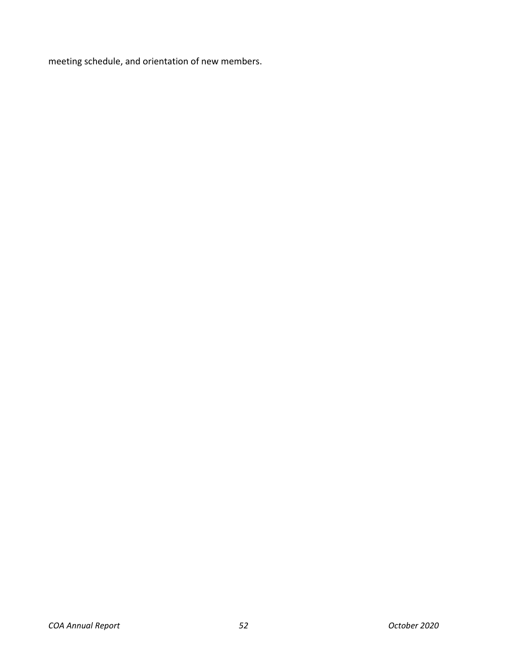meeting schedule, and orientation of new members.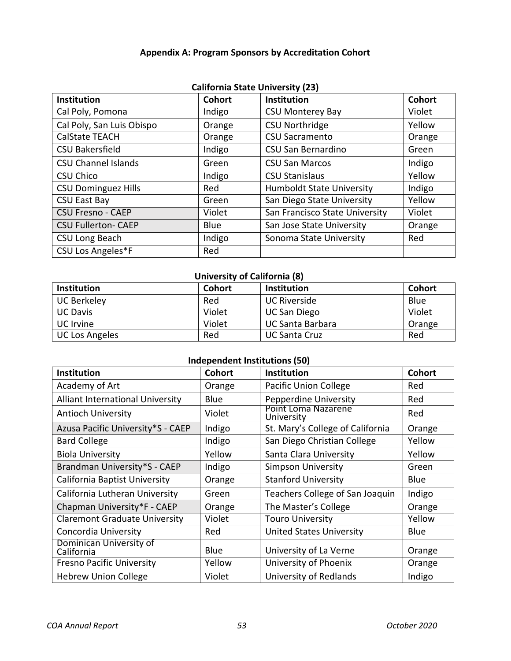## **Appendix A: Program Sponsors by Accreditation Cohort**

<span id="page-52-0"></span>

| <b>Institution</b>         | <b>Cohort</b> | <b>Institution</b>               | <b>Cohort</b> |
|----------------------------|---------------|----------------------------------|---------------|
| Cal Poly, Pomona           | Indigo        | <b>CSU Monterey Bay</b>          | Violet        |
| Cal Poly, San Luis Obispo  | Orange        | <b>CSU Northridge</b>            | Yellow        |
| <b>CalState TEACH</b>      | Orange        | <b>CSU Sacramento</b>            | Orange        |
| <b>CSU Bakersfield</b>     | Indigo        | CSU San Bernardino               | Green         |
| <b>CSU Channel Islands</b> | Green         | <b>CSU San Marcos</b>            | Indigo        |
| <b>CSU Chico</b>           | Indigo        | <b>CSU Stanislaus</b>            | Yellow        |
| <b>CSU Dominguez Hills</b> | Red           | <b>Humboldt State University</b> | Indigo        |
| <b>CSU East Bay</b>        | Green         | San Diego State University       | Yellow        |
| <b>CSU Fresno - CAEP</b>   | Violet        | San Francisco State University   | Violet        |
| <b>CSU Fullerton- CAEP</b> | <b>Blue</b>   | San Jose State University        | Orange        |
| CSU Long Beach             | Indigo        | Sonoma State University          | Red           |
| CSU Los Angeles*F          | Red           |                                  |               |

## **California State University (23)**

## **University of California (8)**

| <b>Institution</b>    | <b>Cohort</b> | <b>Institution</b>  | <b>Cohort</b> |
|-----------------------|---------------|---------------------|---------------|
| <b>UC Berkeley</b>    | Red           | <b>UC Riverside</b> | Blue          |
| <b>UC Davis</b>       | Violet        | UC San Diego        | Violet        |
| <b>UC</b> Irvine      | Violet        | UC Santa Barbara    | Orange        |
| <b>UC Los Angeles</b> | Red           | UC Santa Cruz       | Red           |

## **Independent Institutions (50)**

| <b>Institution</b>                      | <b>Cohort</b> | Institution                       | <b>Cohort</b> |
|-----------------------------------------|---------------|-----------------------------------|---------------|
| Academy of Art                          | Orange        | Pacific Union College             | Red           |
| <b>Alliant International University</b> | Blue          | Pepperdine University             | Red           |
| <b>Antioch University</b>               | Violet        | Point Loma Nazarene<br>University | Red           |
| Azusa Pacific University*S - CAEP       | Indigo        | St. Mary's College of California  | Orange        |
| <b>Bard College</b>                     | Indigo        | San Diego Christian College       | Yellow        |
| <b>Biola University</b>                 | Yellow        | Santa Clara University            | Yellow        |
| Brandman University*S - CAEP            | Indigo        | <b>Simpson University</b>         | Green         |
| California Baptist University           | Orange        | <b>Stanford University</b>        | Blue          |
| California Lutheran University          | Green         | Teachers College of San Joaquin   | Indigo        |
| Chapman University*F - CAEP             | Orange        | The Master's College              | Orange        |
| <b>Claremont Graduate University</b>    | Violet        | <b>Touro University</b>           | Yellow        |
| Concordia University                    | Red           | <b>United States University</b>   | Blue          |
| Dominican University of<br>California   | Blue          | University of La Verne            | Orange        |
| <b>Fresno Pacific University</b>        | Yellow        | University of Phoenix             | Orange        |
| <b>Hebrew Union College</b>             | Violet        | <b>University of Redlands</b>     | Indigo        |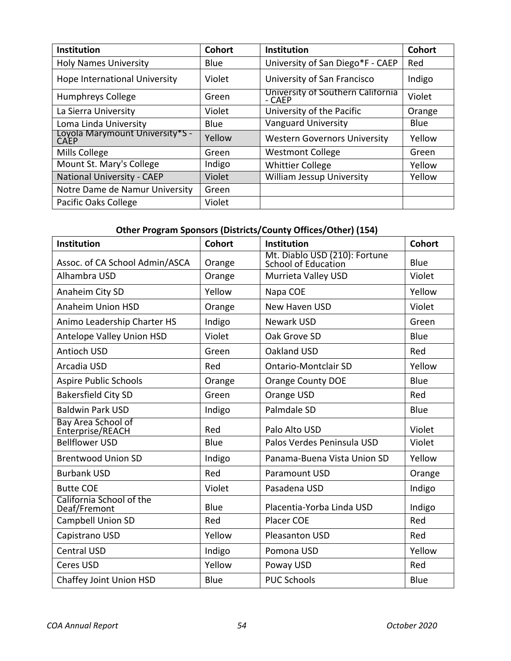| Institution                                    | <b>Cohort</b> | <b>Institution</b>                          | Cohort |
|------------------------------------------------|---------------|---------------------------------------------|--------|
| <b>Holy Names University</b>                   | Blue          | University of San Diego*F - CAEP            | Red    |
| Hope International University                  | Violet        | University of San Francisco                 | Indigo |
| <b>Humphreys College</b>                       | Green         | University of Southern California<br>- CAEP | Violet |
| La Sierra University                           | Violet        | University of the Pacific                   | Orange |
| Loma Linda University                          | Blue          | <b>Vanguard University</b>                  | Blue   |
| Loyola Marymount University*S -<br><b>CAEP</b> | Yellow        | <b>Western Governors University</b>         | Yellow |
| Mills College                                  | Green         | <b>Westmont College</b>                     | Green  |
| Mount St. Mary's College                       | Indigo        | <b>Whittier College</b>                     | Yellow |
| <b>National University - CAEP</b>              | Violet        | <b>William Jessup University</b>            | Yellow |
| Notre Dame de Namur University                 | Green         |                                             |        |
| Pacific Oaks College                           | Violet        |                                             |        |

## **Other Program Sponsors (Districts/County Offices/Other) (154)**

| <b>Institution</b>                       | <b>Cohort</b> | ,, , , ,<br>Institution                              | <b>Cohort</b> |
|------------------------------------------|---------------|------------------------------------------------------|---------------|
| Assoc. of CA School Admin/ASCA           | Orange        | Mt. Diablo USD (210): Fortune<br>School of Education | Blue          |
| Alhambra USD                             | Orange        | Murrieta Valley USD                                  | Violet        |
| Anaheim City SD                          | Yellow        | Napa COE                                             | Yellow        |
| <b>Anaheim Union HSD</b>                 | Orange        | New Haven USD                                        | Violet        |
| Animo Leadership Charter HS              | Indigo        | <b>Newark USD</b>                                    | Green         |
| Antelope Valley Union HSD                | Violet        | Oak Grove SD                                         | Blue          |
| Antioch USD                              | Green         | Oakland USD                                          | Red           |
| Arcadia USD                              | Red           | <b>Ontario-Montclair SD</b>                          | Yellow        |
| <b>Aspire Public Schools</b>             | Orange        | <b>Orange County DOE</b>                             | Blue          |
| <b>Bakersfield City SD</b>               | Green         | Orange USD                                           | Red           |
| <b>Baldwin Park USD</b>                  | Indigo        | Palmdale SD                                          | <b>Blue</b>   |
| Bay Area School of<br>Enterprise/REACH   | Red           | Palo Alto USD                                        | Violet        |
| <b>Bellflower USD</b>                    | Blue          | Palos Verdes Peninsula USD                           | Violet        |
| <b>Brentwood Union SD</b>                | Indigo        | Panama-Buena Vista Union SD                          | Yellow        |
| <b>Burbank USD</b>                       | Red           | Paramount USD                                        | Orange        |
| <b>Butte COE</b>                         | Violet        | Pasadena USD                                         | Indigo        |
| California School of the<br>Deaf/Fremont | Blue          | Placentia-Yorba Linda USD                            | Indigo        |
| <b>Campbell Union SD</b>                 | Red           | <b>Placer COE</b>                                    | Red           |
| Capistrano USD                           | Yellow        | Pleasanton USD                                       | Red           |
| <b>Central USD</b>                       | Indigo        | Pomona USD                                           | Yellow        |
| Ceres USD                                | Yellow        | Poway USD                                            | Red           |
| Chaffey Joint Union HSD                  | Blue          | <b>PUC Schools</b>                                   | Blue          |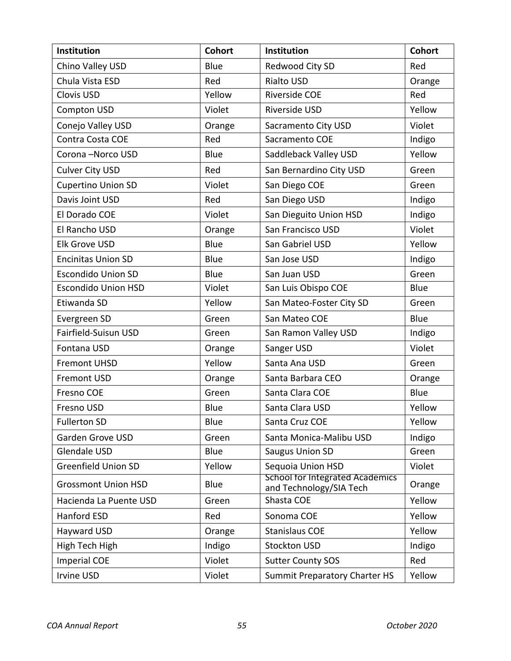| <b>Institution</b>         | <b>Cohort</b> | Institution                                                       | <b>Cohort</b> |
|----------------------------|---------------|-------------------------------------------------------------------|---------------|
| Chino Valley USD           | Blue          | Redwood City SD                                                   | Red           |
| Chula Vista ESD            | Red           | Rialto USD                                                        | Orange        |
| Clovis USD                 | Yellow        | <b>Riverside COE</b>                                              | Red           |
| <b>Compton USD</b>         | Violet        | Riverside USD                                                     | Yellow        |
| Conejo Valley USD          | Orange        | Sacramento City USD                                               | Violet        |
| Contra Costa COE           | Red           | Sacramento COE                                                    | Indigo        |
| Corona-Norco USD           | Blue          | Saddleback Valley USD                                             | Yellow        |
| <b>Culver City USD</b>     | Red           | San Bernardino City USD                                           | Green         |
| <b>Cupertino Union SD</b>  | Violet        | San Diego COE                                                     | Green         |
| Davis Joint USD            | Red           | San Diego USD                                                     | Indigo        |
| El Dorado COE              | Violet        | San Dieguito Union HSD                                            | Indigo        |
| El Rancho USD              | Orange        | San Francisco USD                                                 | Violet        |
| <b>Elk Grove USD</b>       | Blue          | San Gabriel USD                                                   | Yellow        |
| <b>Encinitas Union SD</b>  | Blue          | San Jose USD                                                      | Indigo        |
| <b>Escondido Union SD</b>  | Blue          | San Juan USD                                                      | Green         |
| <b>Escondido Union HSD</b> | Violet        | San Luis Obispo COE                                               | Blue          |
| Etiwanda SD                | Yellow        | San Mateo-Foster City SD                                          | Green         |
| Evergreen SD               | Green         | San Mateo COE                                                     | Blue          |
| Fairfield-Suisun USD       | Green         | San Ramon Valley USD                                              | Indigo        |
| Fontana USD                | Orange        | Sanger USD                                                        | Violet        |
| <b>Fremont UHSD</b>        | Yellow        | Santa Ana USD                                                     | Green         |
| <b>Fremont USD</b>         | Orange        | Santa Barbara CEO                                                 | Orange        |
| Fresno COE                 | Green         | Santa Clara COE                                                   | Blue          |
| Fresno USD                 | Blue          | Santa Clara USD                                                   | Yellow        |
| <b>Fullerton SD</b>        | Blue          | Santa Cruz COE                                                    | Yellow        |
| Garden Grove USD           | Green         | Santa Monica-Malibu USD                                           | Indigo        |
| <b>Glendale USD</b>        | Blue          | <b>Saugus Union SD</b>                                            | Green         |
| <b>Greenfield Union SD</b> | Yellow        | Sequoia Union HSD                                                 | Violet        |
| <b>Grossmont Union HSD</b> | Blue          | <b>School for Integrated Academics</b><br>and Technology/SIA Tech | Orange        |
| Hacienda La Puente USD     | Green         | Shasta COE                                                        | Yellow        |
| Hanford ESD                | Red           | Sonoma COE                                                        | Yellow        |
| Hayward USD                | Orange        | <b>Stanislaus COE</b>                                             | Yellow        |
| High Tech High             | Indigo        | <b>Stockton USD</b>                                               | Indigo        |
| <b>Imperial COE</b>        | Violet        | <b>Sutter County SOS</b>                                          | Red           |
| Irvine USD                 | Violet        | <b>Summit Preparatory Charter HS</b>                              | Yellow        |